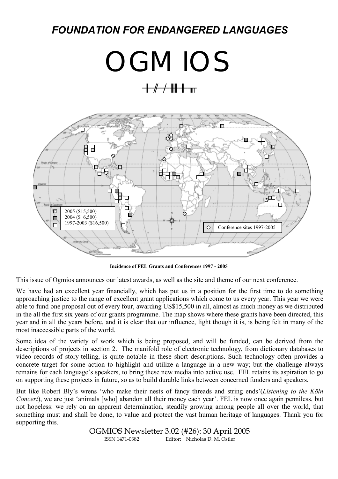# *FOUNDATION FOR ENDANGERED LANGUAGES*

**OGMIOS** 

# ╶╫╌*╫╌┼*╶┼╫╫╌╫╌╥╷



**Incidence of FEL Grants and Conferences 1997 - 2005**

This issue of Ogmios announces our latest awards, as well as the site and theme of our next conference.

We have had an excellent year financially, which has put us in a position for the first time to do something approaching justice to the range of excellent grant applications which come to us every year. This year we were able to fund one proposal out of every four, awarding US\$15,500 in all, almost as much money as we distributed in the all the first six years of our grants programme. The map shows where these grants have been directed, this year and in all the years before, and it is clear that our influence, light though it is, is being felt in many of the most inaccessible parts of the world.

Some idea of the variety of work which is being proposed, and will be funded, can be derived from the descriptions of projects in section 2. The manifold role of electronic technology, from dictionary databases to video records of story-telling, is quite notable in these short descriptions. Such technology often provides a concrete target for some action to highlight and utilize a language in a new way; but the challenge always remains for each language's speakers, to bring these new media into active use. FEL retains its aspiration to go on supporting these projects in future, so as to build durable links between concerned funders and speakers.

But like Robert Bly's wrens 'who make their nests of fancy threads and string ends'(*Listening to the Köln Concert*), we are just 'animals [who] abandon all their money each year'. FEL is now once again penniless, but not hopeless: we rely on an apparent determination, steadily growing among people all over the world, that something must and shall be done, to value and protect the vast human heritage of languages. Thank you for supporting this.

> OGMIOS Newsletter 3.02 (#26): 30 April 2005<br>
> ISSN 1471-0382<br>
> Editor: Nicholas D. M. Ostler Editor: Nicholas D. M. Ostler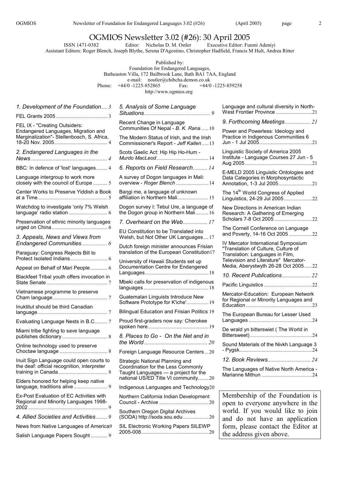# OGMIOS Newsletter 3.02 (#26): 30 April 2005<br>Editor: Nicholas D. M. Ostler Executive Editor: Fu

Executive Editor: Funmi Adeniyi Assistant Editors: Roger Blench, Joseph Blythe, Serena D'Agostino, Christopher Hadfield, Francis M Hult, Andrea Ritter

> Published by: Foundation for Endangered Languages, Batheaston Villa, 172 Bailbrook Lane, Bath BA1 7AA, England e-mail: nostler@chibcha.demon.co.uk Phone: +44/0 -1225-852865 Fax: +44/0 -1225-859258 http://www.ogmios.org

| 1. Development of the Foundation 3                                                | 5. Analysis of Some Language                                                         | Language and cultural diversity in North-                                       |
|-----------------------------------------------------------------------------------|--------------------------------------------------------------------------------------|---------------------------------------------------------------------------------|
|                                                                                   | Recent Change in Language                                                            | 9. Forthcoming Meetings 21                                                      |
| FEL IX - "Creating Outsiders:<br>Endangered Languages, Migration and              | Communities Of Nepal - B. K. Rana 10                                                 | Power and Powerless: Ideology and                                               |
| Marginalization"- Stellenbosch, S. Africa,                                        | The Modern Status of Irish, and the Irish<br>Commissioner's Report - Jeff Kallen  13 | Practice in Indigenous Communities 6                                            |
| 2. Endangered Languages in the                                                    | Scots Gaelic Act: Hip Hip Ho-Hum -                                                   | Linguistic Society of America 2005<br>Institute - Language Courses 27 Jun - 5   |
| BBC: In defence of 'lost' languages 4                                             | 6. Reports on Field Research 14                                                      | E-MELD 2005 Linguistic Ontologies and                                           |
| Language intergroup to work more<br>closely with the council of Europe  5         | A survey of Dogon languages in Mali:<br>overview - Roger Blench  14                  | Data Categories in Morphosyntactic                                              |
| Center Works to Preserve Yiddish a Book                                           | Bangi me, a language of unknown                                                      | The 14 <sup>th</sup> World Congress of Applied<br>Linguistics, 24-29 Jul 200522 |
| Watchdog to investigate 'only 7% Welsh                                            | Dogon survey I: Tebul Ure, a language of<br>the Dogon group in Northern Mali16       | New Directions in American Indian<br>Research: A Gathering of Emerging          |
| Preservation of ethnic minority languages                                         | 7. Overheard on the Web 17                                                           |                                                                                 |
| 3. Appeals, News and Views from                                                   | EU Constitution to be Translated into<br>Welsh, but Not Other UK Languages17         | The Cornell Conference on Language<br>and Poverty, 14-16 Oct 2005 22            |
|                                                                                   | Dutch foreign minister announces Frisian                                             | IV Mercator International Symposium<br>"Translation of Culture, Culture of      |
| Paraguay: Congress Rejects Bill to                                                | translation of the European Constitution17                                           | Translation: Languages in Film,                                                 |
| Appeal on Behalf of Mari People  6                                                | University of Hawaii Students set up<br>Documentation Centre for Endangered          | Television and Literature" Mercator-<br>Media, Aberystwyth 26-28 Oct 200522     |
| Blackfeet Tribal youth offers invocation in                                       |                                                                                      | 10. Recent Publications 22                                                      |
|                                                                                   | Mbeki calls for preservation of indigenous                                           |                                                                                 |
| Vietnamese programme to preserve                                                  | Guatemalan Linguists Introduce New<br>Software Prototype for K'iche' 19              | Mercator-Education: European Network<br>for Regional or Minority Languages and  |
| Inuktitut should be third Canadian                                                | <b>Bilingual Education and Frisian Politics 19</b>                                   |                                                                                 |
| Evaluating Language Nests in B.C 7                                                | Proud first-graders now say: Cherokee                                                | The European Bureau for Lesser Used                                             |
| Miami tribe fighting to save language                                             | 8. Places to Go - On the Net and in                                                  | De wrald yn bitterswiet (The World in                                           |
|                                                                                   |                                                                                      | Sound Materials of the Nivkh Language 3                                         |
| Online technology used to preserve                                                | Foreign Language Resource Centers20                                                  |                                                                                 |
| Inuit Sign Language could open courts to                                          | Strategic National Planning and                                                      |                                                                                 |
| the deaf: official recognition, interpreter                                       | Coordination for the Less Commonly<br>Taught Languages - a project for the           | The Languages of Native North America -                                         |
| Elders honored for helping keep native                                            | national US/ED Title VI community20<br>Indigenous Languages and Technology20         |                                                                                 |
| Ex-Post Evaluation of EC Activities with<br>Regional and Minority Languages 1998- | Northern California Indian Development                                               | Membership of the Foundation is                                                 |
|                                                                                   |                                                                                      | open to everyone anywhere in the                                                |
| 4. Allied Societies and Activities 9                                              | Southern Oregon Digital Archives<br>(SODA) http://soda.sou.edu 20                    | world. If you would like to join<br>and do not have an application              |
| News from Native Languages of America9                                            | SIL Electronic Working Papers SILEWP                                                 | form, please contact the Editor at                                              |
| Salish Language Papers Sought 9                                                   |                                                                                      | the address given above.                                                        |
|                                                                                   |                                                                                      |                                                                                 |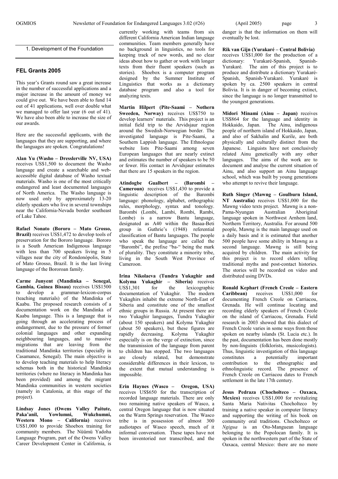<span id="page-2-0"></span>1. Development of the Foundation

# <span id="page-2-1"></span>**FEL Grants 2005**

This year's Grants round saw a great increase in the number of successful applications and a major increase in the amount of money we could give out. We have been able to fund 14 out of 41 applications, well over double what we managed to offer last year (6 out of 41). We have also been able to increase the size of our awards.

Here are the successful applicants, with the languages that they are supporting, and where the languages are spoken. Congratulations!

**Alan Yu (Washo –Dresslerville NV, USA)** receives US\$1,500 to document the Washo language and create a searchable and webaccessible digital database of Washo textual materials. Washo is one of the most critically endangered and least documented languages of North America. The Washo language is now used only by approximately 13-20 elderly speakers who live in several townships near the California-Nevada border southeast of Lake Tahoe.

**Rafael Nonato (Bororo – Mato Grosso, Brazil)** receives US\$1,472 to develop tools of preservation for the Bororo language. Bororo is a South American Indigenous language with less than 700 speakers living in 5 villages near the city of Rondonópolis, State of Mato Grosso, Brazil. It is the last living language of the Bororoan family.

**Carme Junyent (Mandinka – Senegal, Gambia, Guinea Bissau)** receives US\$1500 to develop a grammar-lexicon-corpus (teaching materials) of the Mandinka of Kaabu. The proposed research consists of a documentation work on the Mandinka of Kaabu language. This is a language that is going through an accelerating process of endangerment, due to the pressure of former colonial languages and other expanding neighbouring languages, and to massive migrations that are leaving from the traditional Mandinka territories (specially in Casamance, Senegal). The main objective is to develop teaching materials to help literacy schemas both in the historical Mandinka territories (where no literacy in Mandinka has been provided) and among the migrant Mandinka communities in western societies (namely in Catalonia, at this stage of the project).

**Lindsay Jones (Owens Valley Paitute, Paka'anil, Yowlumni, Wukchumni, Western Mono – California)** receives US\$1,000 to provide Shoebox training for community members. The Nüümü Yadoha Language Program, part of the Owens Valley Career Development Center in California, is

currently working with teams from six different California American Indian language communities. Team members generally have no background in linguistics, no tools for keeping track of new words, and no clear ideas about how to gather or work with longer texts from their fluent speakers (such as stories). Shoebox is a computer program designed by the Summer Institute of Linguistics that works as a dictionary database program and also a tool for analyzing texts.

**Martin Hilpert (Pite-Saami – Nothern Sweeden, Norway)** receives US\$750 to develop learners'materials. This project is an initial field trip to the Arvidsjaur region around the Swedish-Norwegian border. The investigated language is Pite-Saami, a Southern Lappish language. The Ethnologue website lists Pite-Saami among seven European languages that are nearly extinct and estimates the number of speakers to be 50 or fewer. His contact in Arvidsjaur estimates that there are 15 speakers in the region.

**Atindogbe Gualbert – (Barombi – Cameroun)** receives US\$1,430 to provide a linguistic description of the Barombi language: phonology, alphabet, orthographic rules, morphology, syntax and tonology. Barombi (Lombi, Lambi, Rombi, Rambi, Lombe) is a narrow Bantu language, designated as A40 within the Basaa-Beti group in Guthrie's (1948) referential classification of Bantu languages. The people who speak the language are called the "Barombi", the prefixe "ba-" being the mark of plurality. They constitute a minority tribe, living in the South West Province of Cameroon.

**Irina Nikolaeva (Tundra Yukaghir and Kolyma Yukaghir – Siberia**) receives<br>US\$1.301 for the lexicographic  $USS1.301$  for documentation of Yukaghir. The modern Yukaghirs inhabit the extreme North-East of Siberia and constitute one of the smallest ethnic groups in Russia. At present there are two Yukaghir languages, Tundra Yukaghir (about 150 speakers) and Kolyma Yukaghir (about 50 speakers), but these figures are rapidly decreasing. Kolyma Yukaghir especially is on the verge of extinction, since the transmission of the language from parent to children has stopped. The two languages are closely related, but demonstrate considerable differences in their lexicon, to the extent that mutual understanding is impossible.

**Erin Haynes (Wasco – Oregon, USA)** receives US\$650 for the transcription of recorded language materials. There are only two remaining native speakers of Wasco, a central Oregon language that is now situated on the Warm Springs reservation. The Wasco tribe is in possession of almost 300 audiotapes of Wasco speech, much of it informal conversation. These tapes have not been inventoried nor transcribed, and the

danger is that the information on them will eventually be lost.

**Rik van Gijn (Yurakaré –Central Bolivia)**

receives US\$1,000 for the production of a dictionary: Yurakaré-Spanish, Spanish-Yurakaré. The aim of this project is to produce and distribute a dictionary Yurakaré-Spanish, Spanish-Yurakaré. Yurakaré is spoken by ca. 2500 speakers in central Bolivia. It is in danger of becoming extinct, since the language is no longer transmitted to the youngest generations.

**Midori Minami (Ainu –Japan)** receives US\$864 for the language and identity in Hokkaido, Japan. The Ainu, indigenous people of northern island of Hokkaido, Japan, and also of Sakhalin and Kurile, are both physically and culturally distinct from the Japanese. Linguists have not conclusively related Ainu genetically with any other languages. The aims of the work are to document and analyse the current situation of Ainu, and also support an Ainu language school, which was built by young generations who attempt to revive their language.

**Ruth Singer (Mawng –Goulburn Island, NT Australia)** receives US\$1,000 for the Mawng video texts project. Mawng is a non-Pama-Nyungan Australian Aboriginal language spoken in Northwest Arnhem land, Northern Territory, Australia. For around 500 people, Mawng is the main language used on a daily basis and it is estimated that another 500 people have some ability in Mawng as a second language. Mawng is still being acquired by children. The main activity for this project is to record elders telling traditional myths and post-contact histories. The stories will be recorded on video and distributed using DVDs.

**Ronald Kephart (French Creole –Eastern Caribbean)** receives US\$1,000 for documenting French Creole on Carriacou, Grenada. He will continue locating and recording elderly speakers of French Creole on the island of Carriacou, Grenada. Field research in 2003 showed that this dialect of French Creole varies in some ways from those spoken on nearby islands (St. Lucia etc.). In the past, documentation has been done mostly by non-linguists (folklorists, musicologists). Thus, linguistic investigation of this language constitutes a potentially important contribution to the ethnographic and ethnolinguistic record. The presence of French Creole on Carriacou dates to French settlement in the late 17th century.

**Jesus Pedraza (Chocholteco – Oaxaca, Mexico**) receives US\$1,000 for revitalizing Santa Maria Nativitas Chocholteco by training a native speaker in computer literacy and supporting the writing of his book on community oral traditions. Chocholteco or *Ngigua* is an Oto-Manguean language belonging to the Popolocan family. It is spoken in the northwestern part of the State of Oaxaca, central Mexico: there are no more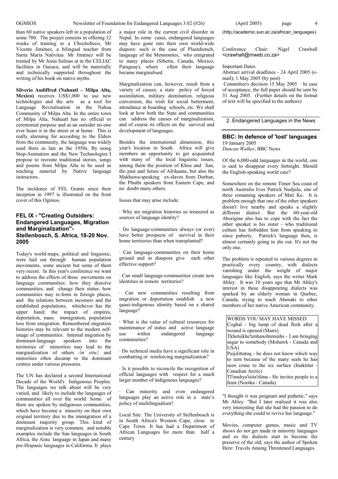than 60 native speakers left in a population of some 700. The project consists in offering 12 weeks of training to a Chocholteco, Mr Vicente Jiménez, a bilingual teacher from Santa Maria Nativitas. Mr Jiménez will be trained by Mr Jesús Salinas at in the CELIAC facilities in Oaxaca, and will be materially and technically supported throughout the writing of his book on native myths.

**Silverio Audiffred (Nahuatl –Milpa Alta,** Mexico) receives US\$1,000 to use new technologies and the arts as a tool for Language Revitalisation in the Nahua Community of Milpa Alta. In the entire town of Milpa Alta, Nahuatl has no official or ceremonial purpose and as an outsider no-one ever hears it in the street or at home. This is really alarming for according to the Elders from the community, the language was widely used there as late as the 1950s. By using Stop-Animation and the New Technologies I propose to recreate traditional stories, songs and poems from Milpa Alta to be used as teaching material by Native language instructors.

The incidence of FEL Grants since their inception in 1997 is illustrated on the front cover of this Ogmios.

# **FEL IX - "Creating Outsiders: Endangered Languages, Migration and Marginalization"- Stellenbosch, S. Africa, 18-20 Nov. 2005**

<span id="page-3-0"></span>Today's world-maps, political and linguistic, were laid out through human population movements, some ancient but some of them very recent. In this year's conference we want to address the effects of these movements on language communities: how they dissolve communities, and change their status; how communities may re-form in foreign places, and the relations between incomers and the established populations, whichever has the upper hand; the impact of empires, deportation, mass immigration, population loss from emigration. Remembered migration histories may be relevant to the modern selfimage of communities. Internal migration by use dominant-language speakers into the territories of minorities may lead to the marginalization of others */in situ/*; and minorities often decamp to the dominant centres under various pressures.

The UN has declared a second International Decade of the World's Indigenous Peoples. The languages we talk about will be very varied, and likely to include the languages of communities all over the world. Some of them are spoken by indigenous communities, which have become a minority on their own original territory due to the immigration of a dominant majority group. This kind of marginalization is very common, and notable examples include the San languages in South Africa, the Ainu language in Japan and many pre-Hispanic languages in California. It plays

a major role in the current civil disorder in Nepal. In some cases, endangered languages may have gone into their own world-wide diapora: such is the case of Plautdietsch, language of the Mennonites, who emigrated to many places (Siberia, Canada, Mexico, Paraguay), where often their language often their language became marginalised.

<span id="page-3-3"></span>Marginalization can, however, result from a variety of causes: a state policy of forced assimilation, military domination, religious conversion, the wish for social betterment. attendance at boarding schools, etc. We shall look at how both the State and communities can address the causes of marginalization, and of course its effects on the survival and development of languages.

Besides the international dimension, this year's location in South Africa will give members an opportunity to get acquainted with many of the local linguistic issues, among them the position of Khoe and San, the past and future of Afrikaans, but also the Makhuwa-speaking ex-slaves from Durban, the Phuthi speakers from Eastern Cape, and no doubt many others.

Issues that may arise include:

<span id="page-3-4"></span>· Why are migration histories so treasured as sources of language identity?

· Do language-communities always (or ever) have better prospects of survival in their home territories than when transplanted?

· Can language-communities on their home ground and in diaspora give each other effective support?

· Can small language-communities create new identities in remote territories?

· Can new communities resulting from migration or deportation establish a new quasi-indigenous identity based on a shared language?

· What is the value of cultural resources for maintenance of status and active language within endangered language communities?

· Do technical media have a significant role in combatting or reinforcing marginalization?

· Is it possible to reconcile the recognition of official languages with respect for a much larger number of indigenous languages?

· Can minority and even endangered languages play an active role in a state's policy of multilingualism?

Local Site: The University of Stellenbosch is in South Africa's Western Cape, close to Cape Town. It has had a Department of African Languages for more than half a century

| (April 2005) | page |
|--------------|------|
|              |      |

(http://academic.sun.ac.za/african\_languages)

Conference Chair: Nigel Crawhall <crawhall@mweb.co.za>

#### Important Dates

.

Abstract arrival deadlines - 24 April 2005 (email); 1 May 2005 (by post)  $\cdot$ 

[Committee's decision 15 May 2005 · In ca](http://academic.sun.ac.za/african_languages)se of acceptance, the full paper should be sent by 31 Aug 2005. (Further details on the format [of text will be specified to the](mailto:crawhall@mweb.co.za) authors)

2. Endangered Languages in the News

# **BBC: In defence of 'lost' languages** 19 January 2005

*Duncan Walker*, BBC News

<span id="page-3-1"></span>Of the 6,000-odd languages in the world, one is said to disappear every fortnight. Should the English-speaking world care?

<span id="page-3-2"></span>Somewhere on the remote Timor Sea coast of north Australia lives Patrick Nudjulu, one of three remaining speakers of Mati Ke. It is problem enough that one of the other speakers doesn't live nearby and speaks a slightly different dialect. But the 60-year-old Aborigine also has to cope with the fact the other speaker is his sister - who traditional culture has forbidden him from speaking to since puberty. Patrick's language then, is almost certainly going to die out. It's not the only one.

The problem is repeated to various degrees in practically every country, with dialects vanishing under the weight of major languages like English, says the writer Mark Abley. It was 10 years ago that Mr Abley's interest in these disappearing dialects was sparked by an elderly woman in Quebec, Canada, trying to teach Abenaki to other members of her native American community.

| <b>WORDS YOU MAY HAVE MISSED</b>               |  |
|------------------------------------------------|--|
| Coghal - big lump of dead flesh after a        |  |
| wound is opened (Manx)                         |  |
| Tkhetsikhe'tenhawihtennihs - I am bringing     |  |
| sugar to somebody (Mohawk - Canada and         |  |
| USA)                                           |  |
| Puijilittatuq - he does not know which way     |  |
| to turn because of the many seals he has       |  |
| seen come to the ice surface (Inuktitut -      |  |
| Canadian Arctic)                               |  |
| Tl'imshya'isita'itlma - He invites people to a |  |
| feast (Nootka - Canada)                        |  |

"I thought it was poignant and pathetic," says Mr Abley. "But I later realised it was also very interesting that she had the passion to do everything she could to revive her language."

Movies, computer games, music and TV shows do not get made in minority languages and so the dialects start to become the preserve of the old, says the author of Spoken Here: Travels Among Threatened Languages.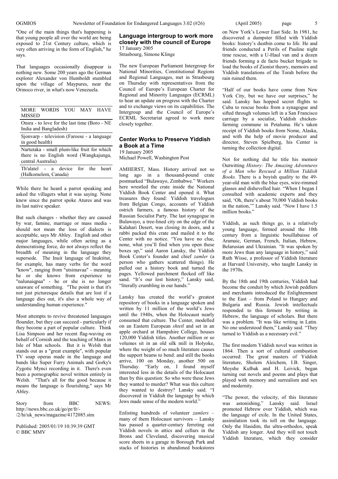"One of the main things that's happening is that young people all over the world are being exposed to 21st Century culture, which is very often arriving in the form of English," he says.

That languages occasionally disappear is nothing new. Some 200 years ago the German explorer Alexander von Humboldt stumbled upon the village of Maypures, near the Orinoco river, in what's now Venezuela.

| MORE WORDS YOU MAY HAVE<br><b>MISSED</b>                                                                    |  |  |
|-------------------------------------------------------------------------------------------------------------|--|--|
| Onsra - to love for the last time (Boro - NE<br>India and Bangladesh)                                       |  |  |
| Sjonvarp - television (Faroese - a language<br>in good health)                                              |  |  |
| Nartutaka - small plum-like fruit for which<br>there is no English word (Wangkajunga,<br>central Australia) |  |  |
| Th'alatel - a device for the<br>heart<br>(Halkomelem, Canada)                                               |  |  |

While there he heard a parrot speaking and asked the villagers what it was saying. None knew since the parrot spoke Atures and was its last native speaker.

But such changes - whether they are caused by war, famine, marriage or mass media should not mean the loss of dialects is acceptable, says Mr Abley. English and other major languages, while often acting as a democratising force, do not always reflect the breadth of meaning in the language they supersede. The Inuit language of Inuktitut, for example, has many verbs for the word "know", ranging from "utsimavaa" - meaning he or she knows from experience to "nalunaiqpaa" - he or she is no longer unaware of something. "The point is that it's not just picturesque details that are lost if a language dies out, it's also a whole way of understanding human experience."

Most attempts to revive threatened languages flounder, but they can succeed - particularly if they become a part of popular culture. Think Lisa Simpson and her recent flag-waving on behalf of Cornish and the teaching of Manx in Isle of Man schools. But it is Welsh that stands out as a "great example", with popular TV soap operas made in the language and bands like Super Furry Animals and Gorky's Zygotic Mynci recording in it. There's even been a pornographic novel written entirely in Welsh. "That's all for the good because it means the language is flourishing," says Mr Abley.

Story from BBC NEWS: http://news.bbc.co.uk/go/pr/fr/- /2/hi/uk\_news/magazine/4172085.stm

Published: 2005/01/19 10:39:39 GMT © BBC MMV

#### **Language intergroup to work more closely with the council of Europe** 17 January 2005

Strasbourg, Simone Klinge

The new European Parliament Intergroup for National Minorities, Constitutional Regions and Regional Languages, met in Strasbourg on Thursday with representatives from the Council of Europe's European Charter for Regional and Minority Languages (ECRML) to hear an update on progress with the Charter and to exchange views on its capabilities. The Intergroup and the Council of Europe's ECRML Secretariat agreed to work more closely together.

# **Center Works to Preserve Yiddish a Book at a Time**

19 January 2005 Michael Powell, Washington Post

AMHERST, Mass. History arrived not so long ago in a thousand-pound crate

postmarked "Bulawayo, Zimbabwe."Workers here wrestled the crate inside the National Yiddish Book Center and opened it. What treasures they found: Yiddish travelogues from Belgian Congo, accounts of Yiddish ostrich farmers, a famous history of the Russian Socialist Party. The last synagogue in Bulawayo, a tree-lined city on the edge of the Kalahari Desert, was closing its doors, and a rabbi packed this crate and mailed it to the Center with no notice. "You have no clue, none, what you'll find when you open these boxes up," said Aaron Lansky, the Yiddish Book Center's founder and chief *zamler* (a person who gathers scattered things). He pulled out a history book and turned the pages. Yellowed parchment flecked off like sand. "It's our lost history," Lansky said, "literally crumbling in our hands."

Lansky has created the world's greatest repository of books in a language spoken and written by 11 million of the world's Jews until the 1940s, when the Holocaust nearly consumed that culture. The Center, modelled on an Eastern European *shtetl* and set in an apple orchard at Hampshire College, houses 120,000 Yiddish titles. Another million or so volumes sit in an old silk mill in Holyoke, where the weight of so much literature causes the support beams to bend: and still the books arrive, 100 on Monday, another 500 on Thursday. "Early on, I found myself interested less in the details of the Holocaust than by this question: So who were these Jews they wanted to murder? What was this culture they wanted to destroy? Lansky said. "I discovered in Yiddish the language by which Jews made sense of the modern world."

Enlisting hundreds of volunteer *zamlers* – many of them Holocaust survivors - Lansky has passed a quarter-century ferreting out Yiddish novels in attics and cellars in the Bronx and Cleveland, discovering musical score sheets in a garage in Borough Park and stacks of histories in abandoned bookstores

on New York's Lower East Side. In 1981, he discovered a dumpster filled with Yiddish books: history's dustbin come to life. He and friends conducted a Perils of Pauline night time rescue, with a U-Haul van and a dozen friends forming a de facto bucket brigade to load the books of Zionist theory, memoirs and Yiddish translations of the Torah before the rain ruined them.

"Half of our books have come from New York City, but we have our surprises," he said. Lansky has hopped secret flights to Cuba to rescue books from a synagogue and sifted through volumes left in a San Francisco carriage by a socialist, Yiddish chickenfarming commune in Petaluma. He's taken receipt of Yiddish books from Nome, Alaska, and with the help of movie producer and director, Steven Spielberg, his Center is turning the collection digital.

Not for nothing did he title his memoir Outwitting *History: The Amazing Adventures of a Man who Rescued a Million Yiddish Books.* There is a boyish quality to the 49 year-old man with the blue eyes, wire-rimmed glasses and dishevelled hair. "When I began I consulted with academic experts and they said, 'Oh, there's about 70,000 Yiddish books in the nation,'"Lansky said. "Now I have 1.5 million books."

Yiddish, as such things go, is a relatively young language, formed around the 10th century from a linguistic bouillabaisse of Aramaic, German, French, Italian, Hebrew, Belarusian and Ukrainian. "It was spoken by more Jews than any language in history," said Ruth Wisse, a professor of Yiddish literature at Harvard University, who taught Lansky in the 1970s.

By the 18th and 19th centuries, Yiddish had become the conduit by which Jewish peddlers and merchants introduced the Enlightenment to the East – from Poland to Hungary and Bulgaria and Russia. Jewish intellectuals responded to this ferment by writing in Hebrew, the language of scholars. But there was a problem. "It was like writing in Latin. No one understood them,"Lansky said. "They turned to Yiddish as a necessary evil."

The first modern Yiddish novel was written in 1864. Then a sort of cultural combustion occurred: The great masters of Yiddish literature, Sholem Aleichem, I.B. Singer, Moyshe Kulbak and H. Leivick, began turning out novels and poems and plays that played with memory and surrealism and sex and modernity.

"The power, the velocity, of this literature was astonishing," Lansky said. Israel promoted Hebrew over Yiddish, which was the language of exile. In the United States, assimilation took its toll on the language. Only the Hasidim, the ultra-orthodox, speak Yiddish any longer. And they will not touch Yiddish literature, which they consider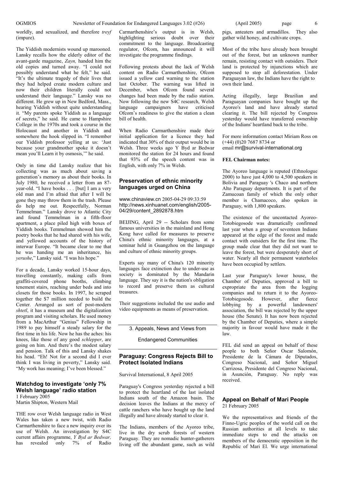worldly, and sexualized, and therefore *treyf* (impure).

The Yiddish modernists wound up marooned. Lansky recalls how the elderly editor of the avant-garde magazine, *Zayn,* handed him the old copies and turned away. "I could not possibly understand what he felt," he said. "It's the ultimate tragedy of their lives that they had helped create modern culture and now their children literally could not understand their language."Lansky was no different. He grew up in New Bedford, Mass., hearing Yiddish without quite understanding it. "My parents spoke Yiddish as a language of secrets," he said. He came to Hampshire College in the 1970s and took a course in the Holocaust and another in Yiddish and somewhere the hook slipped in. "I remember our Yiddish professor yelling at us: 'Just because your grandmother spoke it doesn't mean you'll Learn it by osmosis,'"he said.

Only in time did Lansky realize that his collecting was as much about saving a generation's memory as about their books. In July 1980, he received a letter from an 87 year-old. "I have books . . . [but] I am a very old man and I'm afraid that after I will be gone they may throw them in the trash. Please do help me out. Respectfully, Norman Temmelman."Lansky drove to Atlantic City and found Temmelman in a fifth-floor apartment, a place piled high with boxes of Yiddish books. Temmelman showed him the poetry books that he had shared with his wife, and yellowed accounts of the history of interwar Europe. "It became clear to me that he was handing me an inheritance, his *yerushe*,"Lansky said. "I was his hope."

For a decade, Lansky worked 15-hour days, travelling constantly, making calls from graffiti-covered phone booths, climbing tenement stairs, reaching under beds and into closets for those books. In 1997, he scraped together the \$7 million needed to build the Center. Arranged as sort of post-modern *shtetl*, it has a museum and the digitalization program and visiting scholars. He used money froma MacArthur "Genius" Fellowship in 1989 to pay himself a steady salary for the first time in his life. Now he has the aches: his knees, like those of any good *schlepper*, are going on him. And there's the modest salary and pension. Talk of this and Lansky shakes his head. "Eh! Not for a second did I ever think I was living in poverty,"Lansky said. "My work has meaning; I've been blessed."

#### **Watchdog to investigate 'only 7% Welsh language'radio station** 1 February 2005

Martin Shipton, Western Mail

THE row over Welsh language radio in West Wales has taken a new twist, with Radio Carmarthenshire to face a new inquiry over its use of Welsh. An investigation by S4C current affairs programme, *Y Byd ar Bedwar,* has revealed only 7% of Radio Carmarthenshire's output is in Welsh, highlighting serious doubt over their commitment to the language. Broadcasting regulator, Ofcom, has announced it will investigate the programme findings.

<span id="page-5-0"></span>Following protests about the lack of Welsh content on Radio Carmarthenshire, Ofcom issued a yellow card warning to the station last October. The warning was lifted in December, when Ofcom found several changes had been made by the radio station. Now following the new S4C research, Welsh language campaigners have criticised Ofcom's readiness to give the station a clean bill of health.

When Radio Carmarthenshire made their initial application for a licence they had indicated that 30% of their output would be in Welsh. Three weeks ago Y Byd ar Bedwar monitored the station for 24 hours and found that 93% of the speech content was in English, with only  $7\frac{6}{10}$  in Welsh.

# **Preservation of ethnic minority languages urged on China**

www.chinaview.cn 2005-04-29 09:33:59 http://news.xinhuanet.com/english/2005- 04/29/content\_2892878.htm

BELIING, April 29 -- Scholars from some famous universities in the mainland and Hong Kong have called for measures to preserve China's ethnic minority languages, at a seminar held in Guangzhou on the language and culture of ethnic minority groups.

Experts say many of China's 120 minority languages face extinction due to under-use as society is dominated by the Mandarin language. They say it is the nation's obligation to record and preserve them as cultural treasures.

<span id="page-5-1"></span>Their suggestions included the use audio and video equipments as means of preservation.

[3. Appeals, News and Views from](http://news.xinhuanet.com/english/2005-04/29/content_2892878.htm)

Endangered Communities

# **Paraguay: Congress Rejects Bill to Protect Isolated Indians**

Survival International, 8 April 2005

Paraguay's Congress yesterday rejected a bill to protect the heartland of the last isolated Indians south of the Amazon basin. The decision leaves the Indians at the mercy of cattle ranchers who have bought up the land illegally and have already started to clear it.

The Indians, members of the Ayoreo tribe, live in the dry scrub forests of western Paraguay. They are nomadic hunter-gatherers living off the abundant game, such as wild

<span id="page-5-2"></span>

pigs, anteaters and armadillos. They also gather wild honey, and cultivate crops.

<span id="page-5-3"></span>Most of the tribe have already been brought out of the forest, but an unknown number remain, resisting contact with outsiders. Their land is protected by injunctions which are supposed to stop all deforestation. Under Paraguayan law, the Indians have the right to own their land.

Acting illegally, large Brazilian and Paraguayan companies have bought up the Ayoreo's land and have already started clearing it. The bill rejected by Congress yesterday would have transferred ownership of the Indians' heartland back to the tribe.

For more information contact Miriam Ross on (+44) (0)20 7687 8734 or email mr@survival-international.org

#### **FEL Chairman notes:**

The Ayoreo language is reputed (Ethnologue 2000) to have just  $4,000$  to  $4,500$  speakers in Bolivia and Paraguay 's Chaco and northern Alto Paraguay departments. It is part of the Zamucoan family of which the only other member is Chamacoco, also spoken in Paraguay, with 1,800 speakers.

The existence of the uncontacted Ayoreo-Totobiegosode was dramatically confirmed last year when a group of seventeen Indians appeared at the edge of the forest and made contact with outsiders for the first time. The group made clear that they did not want to leave the forest, but were desperately short of water. Nearly all their permanent waterholes have been occupied by settlers.

Last year Paraguay's lower house, the Cham[ber of Deputies, approved a b](mailto:mr@survival-international.org)ill to expropriate the area from the logging companies and to return it to the Ayoreo-Totobiegosode. However, after fierce lobbying by a powerful landowners' association, the bill was rejected by the upper house (the Senate). It has now been rejected by the Chamber of Deputies, where a simple majority in favour would have made it the law.

FEL did send an appeal on behalf of these people to both Señor Oscar Salomón, Presidente de la Cámara de Diputados, Congreso Nacional, and Señor Miguel Carrizosa, Presidente del Congreso Nacional, in Asunción, Paraguay. No reply was received.

#### **Appeal on Behalf of Mari People** 21 February 2005

We the representatives and friends of the Finno-Ugric peoples of the world call on the Russian authorities at all levels to take immediate steps to end the attacks on members of the democratic opposition in the Republic of Mari El. We urge international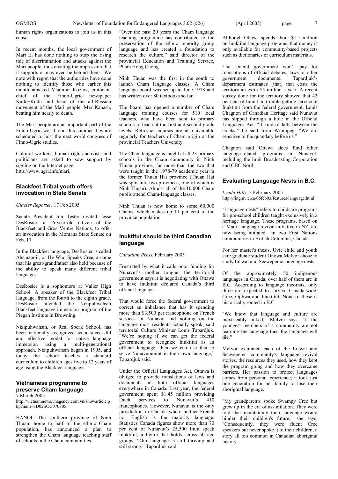OGMIOS Newsletter of Foundation for Endangered Languages 3.02 (#26) (April 2005) page 7

human rights organizations to join us in this cause.

In recent months, the local government of Mari El has done nothing to stop the rising tide of discrimination and attacks against the Mari people, thus creating the impression that it supports or may even be behind them. We note with regret that the authorities have done nothing to identify those who earlier this month attacked Vladimir Kozlov, editor-inchief of the Finno-Ugric newspaper Kudo+Kodu and head of the all-Russian movement of the Mari people, Mer Kanash, beating him nearly to death.

<span id="page-6-0"></span>The Mari people are an important part of the Finno-Ugric world, and this summer they are scheduled to host the next world congress of Finno-Ugric studies.

Cultural workers, human rights activists and politicians are asked to sow support by signing on the Internet page: http://www.ugri.info/mari.

#### **Blackfeet Tribal youth offers invocation in State Senate**

*Glacier Reporter*, 17 Feb 2005

Senate President Jon Tester invited Jesse DesRosier, a 16-year-old citizen of the Blackfeet and Gros Ventre Nations, to offer an invocation in the Montana State Senate on Feb. 17.

In the Blackfeet language, DesRosier is called Ahsinapoii, or He Who Speaks Cree, a name that his great-grandfather also held because of the ability to speak many different tribal languages.

DesRosier is a sophomore at Valier High School. A speaker of the Blackfeet Tribal language, from the fourth to the eighth grade. DesRosier attended the Nizipuhwahsin Blackfeet language immersion program of the Piegan Institute in Browning.

<span id="page-6-1"></span>Nizipuhwahsin, or Real Speak School, has been nationally recognized as a successful and effective model for native language immersion using a multi-generational approach. Nizipuhwahsin began in 1995, and today the school teaches a standard curriculum to children ages five to 12 years of age using the Blackfeet language.

#### **Vietnamese programme to preserve Cham language** 7 March 2005

http://vietnamnews.vnagency.com.vn/showarticle.p hp?num=3D02SOC070305

HANOI: The southern province of Ninh Thuan, home to half of the ethnic Cham population, has announced a plan to strengthen the Cham language teaching staff of schools in the Cham communities.

"Over the past 20 years the Cham language teaching programme has contributed to the preservation of the ethnic minority group language and has created a foundation to research the culture," said director of the provincial Education and Training Service, Pham Hong Cuong.

Ninh Thuan was the first in the south to launch Cham language classes. A Cham language board was set up in June 1978 and has written over 80 textbooks so far.

<span id="page-6-2"></span>The board has opened a number of Cham language training courses for 510 local teachers, who have been sent to primary [schools to teach at the first and second grade](http://vietnamnews.vnagency.com.vn/showarticle.php?num=3D02SOC070305) [levels. Refresher cour](http://vietnamnews.vnagency.com.vn/showarticle.php?num=3D02SOC070305)ses are also available regularly for teachers of Cham origin at the provincial Teachers University.

The Cham language is taught at all 23 primary schools in the Cham community in Ninh Thuan province, far more than the two that were taught in the 1978-79 academic year in the former Thuan Hai province (Thuan Hai was split into two provinces, one of which is Ninh Thuan). Almost all of the 10,000 Cham pupils attend Cham-language classes.

Ninh Thuan is now home to some 60,000 Chams, which makes up 11 per cent of the province population.

# **Inuktitut should be third Canadian language**

*Canadian Press*, February 2005

Frustrated by what it calls poor funding for Nunavut's mother tongue, the territorial government says it is negotiating with Ottawa to have Inuktitut declared Canada's third official language.

That would force the federal government to correct an imbalance that has it spending more than \$3,500 per francophone on French services in Nunavut and nothing on the language most residents actually speak, said territorial Culture Minister Louis Tapardjuk. "We're hoping if we can get the federal government to recognize Inuktitut as an official language, then we can use that to serve Nunavummiut in their own language," Tapardjuk said.

<span id="page-6-3"></span>Under the Official Languages Act, Ottawa is obliged to provide translations of laws and documents in both official languages everywhere in Canada. Last year, the federal government spent \$1.45 million providing Duch services to Nunavut's 410 francophones. However, Nunavut is the only jurisdiction in Canada where neither French nor English is the majority language. Statistics Canada figures show more than 70 per cent of Nunavut's 25,500 Inuit speak Inuktitut, a figure that holds across all age groups. "Our language is still thriving and still strong,"Tapardjuk said.

Although Ottawa spends about \$1.1 million on Inuktitut language programs, that money is only available for community-based projects such as dictionaries or curriculum materials.

The federal government won't pay for translations of official debates, laws or other documents: Tapardjuk's department estimates [that] that costs the territory an extra \$5 million a year. A recent survey done for the territory showed that 42 per cent of Inuit had trouble getting service in Inuktitut from the federal government. Louis Chagnon of Canadian Heritage said Nunavut has slipped through a hole in the Official Languages Act. "It kind of falls between the cracks,"he said from Winnipeg. "We are sensitive to the quandary before us."

Chagnon said Ottawa does fund other language-related programs in Nunavut, including the Inuit Broadcasting Corporation and CBC North.

# **Evaluating Language Nests in B.C.**

*Lynda Hills*, 5 February 2005 http://ring.uvic.ca/05feb03/features/language.html

"Language nests" refers to childcare programs for pre-school children taught exclusively in a heritage language. These programs, based on a Maori language revival initiative in NZ, are now being initiated in two First Nations communities in British Columbia, Canada.

For her master's thesis, Uvic child and youth care graduate student Onowa McIvor chose to study Lil'wat and Secwepemc language nests.

Of the approximately 50 indigenous languages in Canada, over half of them are in B.C. According to language theorists, only three are expected to survive Canada-wide: Cree, Ojibwa and Inuktitut. None of these is historically rooted in B.C.

"We know that language and culture are inextricably linked," McIvor says. "If the youngest members of a community are not learning the language then the language will die."

<span id="page-6-4"></span>McIvor examined each of the Lil'wat and Secwepemc community's language revival stories, the resources they used, how they kept [the program going and how they overcam](http://ring.uvic.ca/05feb03/features/language.html)e barriers. Her passion to protect languages comes from personal experience; it took just one generation for her family to lose their aboriginal language.

"My grandparents spoke Swampy Cree but grew up in the era of assimilation. They were told that maintaining their language would hinder their children's future," she says. "Consequently, they were fluent Cree speakers but never spoke it to their children, a story all too common in Canadian aboriginal history.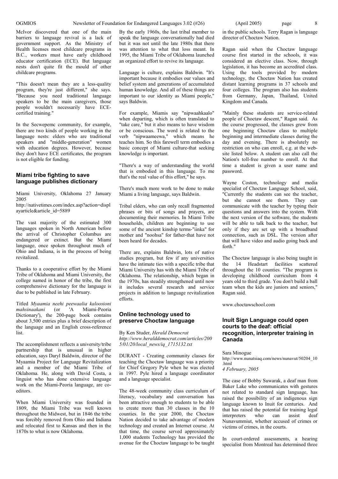OGMIOS Newsletter of Foundation for Endangered Languages 3.02 (#26) (April 2005) page 8

McIvor discovered that one of the main barriers to language revival is a lack of government support. As the Ministry of Health licenses most childcare programs in B.C., workers must have early childhood educator certification (ECE). But language nests don't quite fit the mould of other childcare programs.

"This doesn't mean they are a less-quality program, they're just different," she says. "Because you need traditional language speakers to be the main caregivers, those people wouldn't necessarily have ECEcertified training."

In the Secwepemc community, for example, there are two kinds of people working in the language nests: elders who are traditional speakers and "middle-generation" women with education degrees. However, because they don't have ECE certificates, the program is not eligible for funding.

# **Miami tribe fighting to save language publishes dictionary**

Miami University, Oklahoma 27 January 2005

http://nativetimes.com/index.asp?action=displ ayarticle&article\_id=5889

The vast majority of the estimated 300 languages spoken in North American before the arrival of Christopher Columbus are endangered or extinct. But the Miami language, once spoken throughout much of Ohio and Indiana, is in the process of being revitalized.

Thanks to a cooperative effort by the Miami Tribe of Oklahoma and Miami University, the college named in honor of the tribe, the first comprehensive dictionary for the language is due to be published in late February.

Titled *Myaamia neehi peewaalia kaloosioni mahsinaakani* (or 'A Miami-Peoria Dictionary'), the 200-page book contains about 3,500 entries plus a brief description of the language and an English cross-reference list.

<span id="page-7-0"></span>The accomplishment reflects a university/tribe partnership that is unusual in higher education, says Daryl Baldwin, director of the Myaamia Project for Language Revitalization and a member of the Miami Tribe of Oklahoma. He, along with David Costa, a linguist who has done extensive language work on the Miami-Peoria language, are coeditors.

When Miami University was founded in 1809, the Miami Tribe was well known throughout the Midwest, but in 1846 the tribe was forcibly removed from Ohio and Indiana and relocated first to Kansas and then in the 1870s to what is now Oklahoma.

By the early 1960s, the last tribal member to speak the language conversationally had died but it was not until the late 1980s that there was attention to what that loss meant. In 1995, the Miami Tribe of Oklahoma launched an organized effort to revive its language.

Language is culture, explains Baldwin. "It's important because it embodies our values and belief system and generations of accumulated human knowledge. And all of these things are important to our identity as Miami people," says Baldwin.

For example, Miamis say "nipwaahkaalo" when departing, which is often translated to "take care," but it also means to have wisdom or be conscious. The word is related to the verb "nipwaameewa," which means he teaches him. So this farewell term embodies a basic concept of Miami culture-that seeking knowledge is important.

"There's a way of understanding the world that is embodied in this language. To me that's the real value of this effort," he says.

There's much more work to be done to make Miami a living language, says Baldwin.

Tribal elders, who can only recall fragmented phrases or bits of songs and prayers, are documenting their memories. In Miami Tribe households, children are beginning to use some of the ancient kinship terms-"iinka" for mother and "noohsa" for father-that have not been heard for decades.

There are, explains Baldwin, lots of native studies program, but few if any universities have the intimate ties with a specific tribe that Miami University has with the Miami Tribe of Oklahoma. The relationship, which began in the 1970s, has steadily strengthened until now it includes several research and service projects in addition to language revitalization efforts.

### **Online technology used to preserve Choctaw language**

By Ken Studer, *Herald Democrat http://www.heralddemocrat.com/articles/200 5/01/20/local\_news/iq\_1715132.txt*

DURANT - Creating community classes for teaching the Choctaw language was a priority for Chief Gregory Pyle when he was elected in 1997. Pyle hired a language coordinator and a language specialist.

The 48-week community class curriculum of literacy, vocabulary and conversation has been attractive enough to students to be able to create more than 30 classes in the 10 counties. In the year 2000, the Choctaw Nation decided to take advantage of modern technology and created an Internet course. At that time, the course served approximately 1,000 students Technology has provided the avenue for the Choctaw language to be taught

in the public schools. Terry Ragan is language director of Choctaw Nation.

Ragan said when the Choctaw language course first started in the schools, it was considered an elective class. Now, through legislation, it has become an accredited class. Using the tools provided by modern technology, the Choctaw Nation has created distant learning programs in 37 schools and four colleges. The program also has students from Germany, Japan, Thailand, United Kingdom and Canada.

<span id="page-7-1"></span>"Mainly these students are service-related people of Choctaw descent," Ragan said. As the course progressed, the classes grew from one beginning Choctaw class to multiple beginning and intermediate classes during the day and evening. There is absolutely no restriction on who can enroll, e.g. at the website listed below. A student can also call the Nation's toll-free number to enroll. At that time a student is given a user name and password.

Wayne Coston, technology and media specialist of Choctaw Language School, said, "Currently the students can see the teacher, but she cannot see them. They can communicate with the teacher by typing their questions and answers into the system. With the next version of the software, the students will be able to talk back to the teacher, but only if they are set up with a broadband connection, such as DSL. The version after that will have video and audio going back and forth."

The Choctaw language is also being taught in the 14 Headstart facilities scattered throughout the 10 counties. "The program is developing childhood curriculum from 4 years old to third grade. You don't build a ball team when the kids are juniors and seniors," Ragan said.

www.choctawschool.com

# **Inuit Sign Language could open courts to the deaf: official recognition, interpreter training in Canada**

Sara Minogue

http://www.nunatsiaq.com/news/nunavut/50204\_10 .html

*4 February, 2005*

The case of Bobby Suwarak, a deaf man from Baker Lake who communicates with gestures not related to standard sign language, has raised the possibility of an indigenous sign language known to Inuit for centuries. And that has raised the potential for training legal interpreters who can assist deaf Nunavummiut, whether accused of crimes or victims of crimes, in the courts.

In court-ordered assessments, a hearing specialist from Montreal has determined three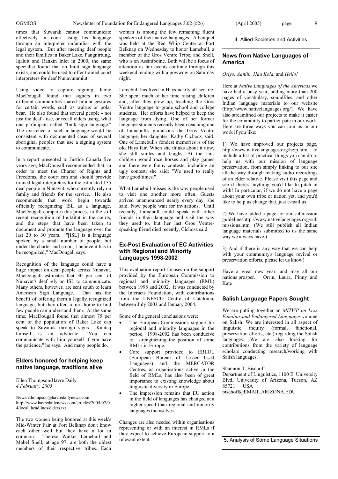times that Suwarak cannot communicate effectively in court using his language through an interpreter unfamiliar with the legal system. But after meeting deaf people and their families in Baker Lake, Pangnirtung, Iqaluit and Rankin Inlet in 2000, the same specialist found that an Inuit sign language exists, and could be used to offer trained court interpreters for deaf Nunavummiut.

<span id="page-8-0"></span>Using video to capture signing, Jamie MacDougall found that signers in two different communities shared similar gestures for certain words, such as walrus or polar bear. He also found that several people - not just the deaf - use, or recall elders using, what one participant called "Inuk sign language." The existence of such a language would be consistent with documented cases of several [aboriginal peoples that use a signing system](http://www.nunatsiaq.com/news/nunavut/50204_10.html) to communicate.

In a report presented to Justice Canada five years ago, MacDougall recommended that, in order to meet the Charter of Rights and Freedoms, the court can and should provide trained legal interpreters for the estimated 155 deaf people in Nunavut, who currently rely on family and friends for the service. He also recommends that work begin towards officially recognizing ISL as a language. MacDougall compares this process to the still recent recognition of Inuktitut in the courts, and the steps that have been taken to document and promote the language over the last 20 to 30 years. "[ISL] is a language spoken by a small number of people, but under the charter and so on, I believe it has to be recognized," MacDougall says.

Recognition of the language could have a huge impact on deaf people across Nunavut. MacDougall estimates that 30 per cent of Nunavut's deaf rely on ISL to communicate. Many others, however, are sent south to learn American Sign Language. That has the benefit of offering them a legally recognized language, but they often return home to find few people can understand them. At the same time, MacDougall found that almost 75 per cent of the population of Baker Lake can speak to Suwarak through signs. Kautaq himself is an advocate. "You can communicate with him yourself if you have the patience," he says. And many people do.

# **Elders honored for helping keep native language, traditions alive**

Ellen Thompson/Havre Daily *4 February, 2005*

News/ethompson@havredailynews.com http://www.havredailynews.com/articles/2005/02/0 4/local\_headlines/elders.txt

The two women being honored at this week's Mid-Winter Fair at Fort Belknap don't know each other well but they have a lot in common. Theresa Walker Lamebull and Mabel Snell, at age 97, are both the oldest members of their respective tribes. Each

woman is among the few remaining fluent speakers of their native languages. A banquet was held at the Red Whip Center at Fort Belknap on Wednesday to honor Lamebull, a member of the Gros Ventre Tribe, and Snell, who is an Assiniboine. Both will be a focus of attention as fair events continue through this weekend, ending with a powwow on Saturday night.

Lamebull has lived in Hays nearly all her life. She spent much of her time raising children and, after they grew up, teaching the Gros Ventre language to grade school and college students. Her efforts have helped to keep the language from dying. One of her former language students recently began teaching one of Lamebull's grandsons the Gros Ventre language, her daughter, Kathy Cichosz, said. One of Lamebull's fondest memories is of the old Hays fair. When she thinks about it now, she still smiles and laughs. At the fair, children would race horses and play games and there were funny contests, including an ugly contest, she said: "We used to really have good times."

<span id="page-8-1"></span>[What Lamebull misses is the way p](mailto:News/ethompson@havredailynews.com)eople used [to visit one another more often. Guests](http://www.havredailynews.com/articles/2005/02/04/local_headlines/elders.txt) [arrived unannounced](http://www.havredailynews.com/articles/2005/02/04/local_headlines/elders.txt) nearly every day, she said. Now people wait for invitations. Until recently, Lamebull could speak with other friends in their language and visit the way they used to, but her last Gros Ventrespeaking friend died recently, Cichosz said.

# **Ex-Post Evaluation of EC Activities with Regional and Minority Languages 1998-2002**

This evaluation report focuses on the support provided by the European Commission to regional and minority languages (RML) between 1998 and 2002. It was conducted by the Interacts Foundation, with contributions from the UNESCO Centre of Catalonia, between July 2003 and January 2004.

Some of the general conclusions were:

- The European Commission's support for regional and minority languages in the period 1998-2002 has been conducive to strengthening the position of some RMLs in Europe.
- Core support provided to EBLUL (European Bureau of Lesser Used Languages) and the MERCATOR Centres, as organisations active in the field of RMLs, has also been of great importance to existing knowledge about linguistic diversity in Europe.
- The impression remains that EU action in the field of languages has changed at a higher speed than regional and minority languages themselves.

Changes are also needed within organisations representing or with an interest in RMLs if they expect to achieve European support to a relevant extent.

<span id="page-8-2"></span>4. Allied Societies and Activities

### **News from Native Languages of America**

#### *Osiyo, Aaniin, Hau Kola,* and *Hello!*

Here at *Native Languages of the Americas* we have had a busy year, adding more than 200 pages of vocabulary, soundfiles, and other Indian language materials to our website (http://www.nativelanguages.org/). We have also streamlined our projects to make it easier for the community to partici-pate in our work. Here are three ways you can join us in our work if you like:

1) We have improved our projects page, http://www.nativelanguages.org/help.htm, to include a list of practical things you can do to help us with our mission of language preservation, from simply linking to our site all the way through making audio recordings of an elder relative. Please visit this page and see if there's anything you'd like to pitch in with! In particular, if we do not have a page about your own tribe or nation yet, and you'd like to help us change that, just e-mail us.

2) We have added a page for our submission guidelineshttp://www.nativelanguages.org/sub missions.htm. (We still publish all Indian language materials submitted to us the same way we always have.)

<span id="page-8-3"></span>3) And if there is any way that we can help with your community's language revival or preservation efforts, please let us know!

<span id="page-8-4"></span>Have a great new year, and may all our nations prosper. Orrin, Laura, Pinny and Kate

# **Salish Language Papers Sought**

We are putting together an *MITWP on Less Familiar and Endangered Languages* volume on Salish. We are interested in all aspect of linguistic inquiry (formal, functional, preservation efforts, etc.) regarding the Salish languages. We are also looking for contributions from the variety of language scholars conducting research/working with Salish languages.

Shannon T. Bischoff

Department of Linguistics, 1100 E. University Blvd, University of Arizona, Tucson, AZ 85721 USA bischoff@EMAIL.ARIZONA.EDU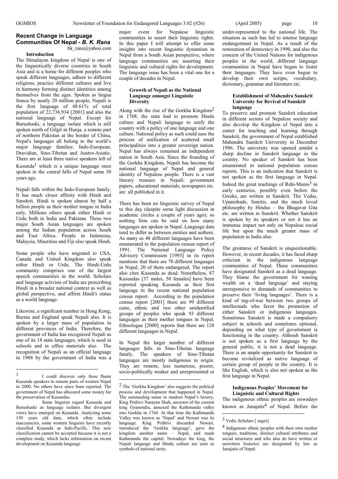## **Recent Change in Language Communities Of Nepal -** *B. K. Rana*

bk rana@yahoo.com

# **Introduction**

The Himalayan kingdom of Nepal is one of the linguistically diverse countries in South Asia and is a home for different peoples who speak different languages, adhere to different religions, practice different cultures and live in harmony forming distinct identities among themselves from the ages. Spoken as lingua franca by nearly 20 million people, Nepali is the first language of 48.61% of total population of  $\tilde{22,736,934}$  [2001] and also the national language of Nepal. Except for Burushaski, a language isolate which is still spoken north of Gilgit in Hunja, a remote part of northern Pakistan at the border of China, Nepal's languages all belong to the world's major language families: Indo-European, Dravidian, Sino-Tibetan and Austro-Asiatic. There are at least three native speakers left of

Kusunda<sup>1</sup> which is a unique language once spoken in the central hills of Nepal some 30 years ago.

Nepali falls within the Indo-European family. It has much closer affinity with Hindi and Sanskrit. Hindi is spoken almost by half a billion people as their mother tongue in India only. Millions others speak either Hindi or Urdu both in India and Pakistan. These two major South Asian languages are spoken among the Indian population across South and East Africa. People in Indonesia, Malaysia, Mauritius and Fiji also speak Hindi.

<span id="page-9-1"></span><span id="page-9-0"></span>Some people who have migrated to USA, Canada and United Kingdom also speak either Hindi or Urdu. The Hindi-Urdu community comprises one of the largest speech communities in the world. Scholars and language activists of India are prescribing Hindi in a broader national context as well as global perspective, and affirm Hindi's status as a world language.

Likewise, a significant number in Hong Kong, Burma and England speak Nepali also. It is spoken by a larger mass of population in  $\frac{1}{1}$ different provinces of India. Therefore, the government of India has recognized Nepali as one of its 18 state languages, which is used in schools and in office materials also. The recognition of Nepali as an official language in 1988 by the government of India was a

major event for Nepalese linguistic communities to assert their linguistic rights. In this paper I will attempt to offer some insights into recent linguistic dynamism in Nepal from a South Asian perspective, where language communities are asserting their linguistic and cultural rights for development. The language issue has been a vital one for a couple of decades in Nepal.

#### **Growth of Nepali as the National Language amongst Linguistic Diversity**

Along with the rise of the Gorkha Kingdom2 in 1768, the state had to promote Hindu culture and Nepali language to unify the country with a policy of one language and one culture. National policy as such could ease the process of unification of scattered small principalities into a greater sovereign nation. Nepal has always remained an independent nation in South Asia. Since the founding of the Gorkha Kingdom, Nepali has become the national language of Nepal and general identity of Nepalese people. There is a vast literary treasure in Nepali: government papers, educational materials, newspapers etc. are all published in it.

There has been no linguistic survey of Nepal to this day (despite some light discussion in academic circles a couple of years ago); so nothing firm can be said on how many languages are spoken in Nepal. Language data tend to differ as between entities and authors. As many as 48 different languages have been enumerated in the population census report of 1991. The National Language Policy Advisory Commission [1993] in its report mentions that there are 70 different languages in Nepal, 20 of them endangered. The report also cites Kusunda as dead. Nonetheless, 87 Kusundas [37 males, 50 females] have been reported speaking Kusunda as their first language in the recent national population census report. According to the population census report [2001] there are 99 different caste, ethnic and two other unidentifie[d](#page-9-3) groups of peoples who speak 93 different languages as their mother tongues in Nepal. Ethnologue [2000] reports that there are 128 different languages in Nepal.

In Nepal the larger number of different languages falls in Sino-Tibetan language family. The speakers of Sino-Tibetan languages are mostly indigenous in origin. They are remote, less numerous, poorer, socio-politically weaker and unrepresented or

<span id="page-9-4"></span><span id="page-9-3"></span><span id="page-9-2"></span>

under-represented to the national life. The situation as such has led to intense language endangerment in Nepal. As a result of the restoration of democracy in 1990, and also the concern of the United Nations for indigenous peoples in the world, different language communities in Nepal have begun to foster their languages. They have even begun to develop their own scripts, vocabulary, dictionary, grammar and literature etc.

#### **Establishment of Mahendra Sanskrit University for Revival of Sanskrit language**

To preserve and promote Sanskrit education in different sectors of Nepalese society and also develop the Kingdom of Nepal into a center for teaching and learning through Sanskrit, the government of Nepal established Mahendra Sanskrit University in December 1986. The university was opened amidst a sharp decline in Sanskrit language in the country. No speaker of Sanskrit has been enumerated in national population census reports. This is an indication that Sanskrit is not spoken as the first language in Nepal. Indeed the great teachings of Rshi-Munis<sup>3</sup> in early centuries, possibly even before the Greeks, are written in Sanskrit. The Vedas, Upanishads, Smritis, and the much loved  $philosophy$  by Hindus – the Bhagavat Gita etc. are written in Sanskrit. Whether Sanskrit is spoken by its speakers or not it has an immense impact not only on Nepalese social life but upon the much greater mass of population in India also.

The greatness of Sanskrit is unquestionable. However, in recent decades, it has faced sharp criticism in the indigenous language communities of Nepal. These communities have designated Sanskrit as a dead language. They blame the government for wasting wealth on a 'dead language'and staying unresponsive to demands of communities to preserve their 'living languages'. There is a kind of tug-of-war between two groups of intellectuals who favor the promotion of either Sanskrit or indigenous languages. Sometimes Sanskrit is made a compulsory subject in schools and sometimes optional, depending on what type of government is functioning in the country. Althouh Sanskrit is not spoken as a first language by the general public, it is not a dead language. There is an ample opportunity for Sanskrit to become revitalized as native language of certain group of people in the country. It is like English, which is also not spoken as the first language in Nepal.

#### **Indigenous Peoples'Movement for Linguistic and Cultural Rights**

The indigenous ethnic peoples are nowadays known as Janajatis<sup>4</sup> of Nepal. Before the

<sup>1</sup> I could discover only three fluent Kusunda speakers in remote parts of western Nepal in 2000. No others have since been reported. The government of Nepal has allocated some money for the preservation of Kusundas.

Some linguist[s r](#page-9-2)egard Kusunda and Burushaski as language isolates. But divergent views have emerged on Kusunda. Analyzing some 150 years old data, which often include inaccuracies, some western linguists have recently classified Kusunda as Indo-Pacific. This new classification cannot be accepted because it is not a complete study, which lacks information on recent development on Kusunda language

<sup>2</sup> The 'Gorkha Kingdom'also suggests the political process and development that happened in Nepal. The outstanding name in modern Nepal's history, King Prithivi Narayan Shah, ancestor of the current king Gyanendra, annexed the Kathmandu valley into Gorkha in 1768. At that time the Kathmandu Valley was known as 'Nepal'and Newari was its language. King Prithivi discarded Newari, introduced the 'Gorkha language', gave the kingdom another name – Nepal, and made Kathmandu the capital. Nowadays the king, the Nepali language and Hindu culture are seen as symbols of national unity.

<sup>3</sup> Vedic Scholars [ sages]

<sup>4</sup> Indigenous ethnic peoples with their own mother tongue[s,](#page-9-4) traditions, distinct cultural attributes and social structures and who also do have written or unwritten histories are designated by law as Janajatis of Nepal.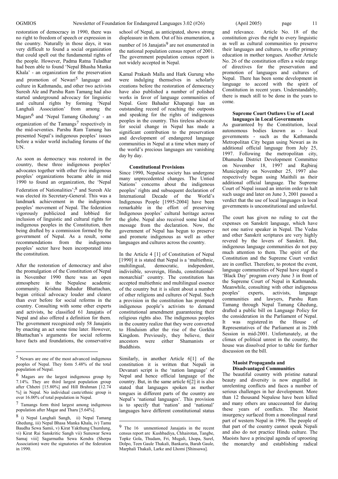restoration of democracy in 1990, there was no right to freedom of speech or expression in the country. Naturally in those days, it was very difficult to found a social organization that could spell out the fundamental rights of the people. However, Padma Ratna Tuladhar had been able to found 'Nepal Bhasha Manka Khala'- an organization for the preservation and promotion of Newari<sup>5</sup> language and culture in Kathmandu, and other two activists Suresh Ale and Parshu Ram Tamang had also started underground advocacy for linguistic and cultural rights by forming 'Nepal Langhali Association' from among the Magars<sup>6</sup> and 'Nepal Tamang Ghedung' - an organization of the Tamangs<sup>7</sup> respectively in the mid-seventies. Parshu Ram Tamang has presented Nepal's indigenous peoples'issues before a wider world including forums of the UN.

As soon as democracy was restored in the country, these three indigenous peoples' advocates together with other five indigenous peoples'organizations became able in mid 1990 to found an organization, the 'Nepal Federation of Nationalities';<sup>8</sup> and Suresh Ale was elected its Secretary-General. This was a landmark achievement in the indigenous peoples' movement of Nepal. The federation vigorously publicized and lobbied for inclusion of linguistic and cultural rights for indigenous peoples in the Constitution, then being drafted by a commission formed by the government of Nepal. As a result, some recommendations [fro](#page-10-0)m the indigenous peoples'sector have been incorporated into the constitution.

After the restoration of democracy and also the promulgation of the Constitution of Nepal in November 1990 there was an open atmosphere in the Nepalese academic community. Krishna Bahadur Bhattachan, began critical advocacy louder and clearer than ever before for social reformsint[he](#page-10-1) country. Consulting with some other experts and activists, he classified 61 Janajatis of Nepal and also offered a definition for them. The government recognized only 58 Janajatis by enacting an act some time later. However, Bhattachan'sargu[men](#page-10-2)ts for social reforms have facts and foundations, the conservati[ve](#page-10-3)

7 Tamangs form third largest among indigenous population after Magar and Tharu [5.64%].

school of Nepal, as anticipated, shows strong displeasure in them. Out of his enumeration, a number of 16 Janajatis $9$  are not enumerated in the national population census report of 2001. The government population census report is not widely accepted in Nepal.

Kamal Prakash Malla and Hark Gurung who were indulging themselv[es](#page-10-4) in scholarly creations before the restoration of democracy have also published a number of polished works in favor of language communities of Nepal. Gore Bahadur Khapangi has an outstanding record of reaching the outposts and speaking for the rights of indigenous peoples in the country. This tireless advocate for social change in Nepal has made a significant contribution to the preservation and development of endangered language communities in Nepal at a time when many of the world's precious languages are vanishing day by day.

#### **Constitutional Provisions**

Since 1990, Nepalese society has undergone many unprecedented changes. The Untied Nations' concerns about the indigenous peoples' rights and subsequent declaration of International Decade of the World's Indigenous People [1995-2004] have been remarkable in the effort of preserving Indigenous peoples' cultural heritage across the globe. Nepal also received some kind of message from the declaration. Now, the government of Nepal has begun to preserve and promote indigenous as well as other languages and cultures across the country.

In the Article 4 [1]of [Co](#page-10-5)nstitution of Nepal [1990] it is stated that Nepal is a 'multiethnic,<br>multilingual democratic independent. democratic, independent, indivisible, sovereign, Hindu, constitutionalmonarchial' country. The constitution has accepted multiethnic and multilingual essence of the country but it is silent about a number of other religions and cultures of Nepal. Such a provision in the constitution has prompted indigenous people's activists to demand constitutional amendment guaranteeing their religious rights also. The indigenous peoples in the country realize that they were converted to Hinduism after the rise of the Gorkha Kingdom. Previously, they believe, their ancestors were either Shamanists or **Buddhists** 

Similarly, in another Article 6[1] of the constitution it is written that Nepali in Devanari script is the 'nation language' of Nepal and hence official language of the country. But, in the same article 6[2] it is also stated that languages spoken as mother tongues in different parts of the country are Nepal's 'national languages'. This provision is to specify that 'nation'and 'national' languages have different constitutional status

<span id="page-10-5"></span><span id="page-10-4"></span><span id="page-10-3"></span><span id="page-10-2"></span><span id="page-10-1"></span><span id="page-10-0"></span>

and relevance. Article No. 18 of the constitution gives the right to every linguistic as well as cultural communities to preserve their languages and cultures, to offer primary education in mother tongues. Another Article No. 26 of the constitution offers a wide range of directives for the preservation and promotion of languages and cultures of Nepal. There has been some development in language to accord with the spirit of Constitution in recent years. Understandably, there is much still to be done in the years to come.

#### **Supreme Court Outlaws Use of Local languages in Local Governments**

As guaranteed by the Constitution, local autonomous bodies known as - local governments - such as the Kathmandu Metropolitan City began using Newari as its additional official language from July 25, 1997. Following the metropolitan city, Dhanusha District Development Committee on November 18, 1997 and Rajbiraj Municipality on November 25, 1997 also respectively began using Maithili as their additional official language. The Supreme Court of Nepal issued an interim order to halt such usage and later on June 3, 2001 passed a verdict that the use of local languages in local governments is unconstitutional and unlawful.

The court has given no ruling to cut the expenses on Sanskrit language, which have not one native speaker in Nepal. The Vedas and other Sanskrit scriptures are very highly revered by the lovers of Sanskrit. But, indigenous language communities do not pay much attention to them. The spirit of the Constitution and the Supreme Court verdict are in conflict. Therefore, to protest the event, language communities of Nepal have staged a 'Black Day'program every June 3 in front of the Supreme Court of Nepal in Kathmandu. Meanwhile, consulting with other indigenous peoples' experts, activists, language communities and lawyers, Parshu Ram Tamang through Nepal Tamang Ghedung, drafted a public bill on Language Policy for the consideration in the Parliament of Nepal. It was registered in the House of Representatives of the Parliament at its 20th Session in mid-2001. Unfortunately, at the climax of political unrest in the country, the house was dissolved prior to table for further discussion on the bill.

#### **Maoist Propaganda and Disadvantaged Communities**

The beautiful country with pristine natural beauty and diversity is now engulfed in unrelenting conflicts and faces a number of serious challenges in her development. More than 12 thousand Nepalese have been killed and many others are unaccounted for during these years of conflicts. The Maoist insurgency surfaced from a monolingual rural part of western Nepal in 1996. The people of that part of the country cannot speak Nepali and also do not practice Hindu culture. The Maoists have a principal agenda of uprooting the monarchy and establishing radical

<sup>5</sup> Newars are one of the most advanced indigenous peoples of Nepal. They form 5.48% of the total population of Nepal.

<sup>6</sup> Magars are the largest indigenous group by 7.14%. They are third largest population group after Chhetri [15.80%] and Hill Brahman [12.74 %] in Nepal. No individual caste/ethnic group is over 16.00% of total population in Nepal.

<sup>8</sup> i) Nepal Langhali Sangh, ii) Nepal Tamang Ghedung, iii) Nepal Bhasa Manka Khala, iv) Tamu Baudha Sewa Samii, v) Kirat Yakthung Chumlung, vi) Kirat Rai Sanskritic Sangh vii) Sunuwar Sewa Samaj viii] Sagarmatha Sewa Kendra (Sherpa Association) were the signatories of the federation in 1990.

<sup>9</sup> The 16 unmentioned Janajatis in the recent census report are Kushbadiya, Chhairotan, Tangbe, Topke Gola, Thudam, Fri, Mugali, Lhopa, Surel, Dolpo, Teen Gaule Thakali, Bankaria, Barah Gaule, Marphali Thakali, Larke and Lhomi [Shinsawa].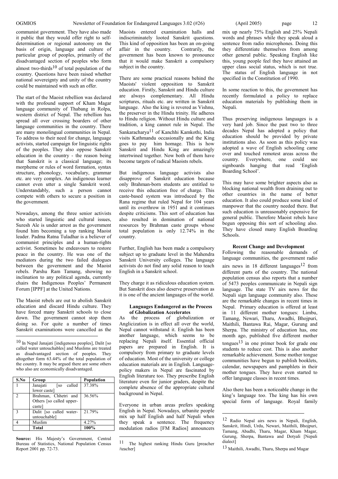<span id="page-11-0"></span>communist government. They have also made it public that they would offer right to selfdetermination or regional autonomy on the basis of origin, language and culture of particular group of peoples, primarily of the disadvantaged section of peoples who form almost two-thirds<sup>10</sup> of total population of the country. Questions have been raised whether national sovereignty and unity of the country could be maintained with such an offer.

The start of the Maoist rebellion was declared with the profound support of Kham Magar language community of Thabang in Rolpa, western district of Nepal. The rebellion has spread all over crossing boarders of other language communities in the country. There are many monolingual communities in Nepal. To address to their need for change, language activists, started campaign for linguistic rights of the peoples. They also oppose Sanskrit education in the country - the reason being that Sanskrit is a classical language; its morpheme or rules of word formation, syntax structure, phonology, vocabulary, grammar etc. are very complex. An indigenous learner cannot even utter a single Sanskrit word. Understandably, such a person cannot compete with others to secure a position in the government.

Nowadays, among the three senior activists who started linguistic and cultural issues, Suresh Ale is under arrest as the government found him becoming a top ranking Maoist leader. Padma Ratna Tuladhar is a believer of communist principles and a human-rights activist. Sometimes he endeavours to restore peace in the country. He was one of the mediators during the two failed dialogues between the government and the Maoist rebels. Parshu Ram Tamang, showing no inclination to any political agenda, currently chairs the Indigenous Peoples' Permanent Forum [IPPF] at the United Nations.

The Maoist rebels are out to abolish Sanskrit education and discard Hindu culture. They have forced many Sanskrit schools to close down. The government cannot stop them doing so. For quite a number of times Sanskrit examina[tion](#page-11-0)s were cancelled as the

10 In Nepal Janajati [indigenous peoples], Dalit [so called water untouchables] and Muslims are treated as disadvantaged section of peoples. They altogether form 63.44% of the total population of the country. It may be argued there are some others who also are economically disadvantaged.

| S.No           | Group                                            | Population |
|----------------|--------------------------------------------------|------------|
|                | Janajati<br>[so called]                          | 37.38%     |
|                | lower castel                                     |            |
| $\mathfrak{D}$ | Brahman, Chhetri and<br>Others [so called upper- | 36.56%     |
|                |                                                  |            |
|                | caste]                                           |            |
| $\mathbf{3}$   | Dalit [so called water-<br>untouchable]          | 21.79%     |
|                |                                                  |            |
|                | Muslim                                           | 4.27%      |
|                | Total                                            | 100%       |

**Source:** His Majesty's Government, Central Bureau of Statistics, National Population Census Report 2001 pp. 72-73.

Maoists entered examination halls and indiscriminately looted Sanskrit questions. This kind of opposition has been an on-going affair in the country. Contrarily, the government has been known to pronounce that it would make Sanskrit a compulsory subject in the country.

There are some practical reasons behind the Maoists' violent opposition to Sanskrit education. Firstly, Sanskrit and Hindu culture are always complementary. All Hindu scriptures, rituals etc. are written in Sanskrit language. Also the king is revered as Vishnu, the preserver in the Hindu trinity. He adheres to Hindu religion. Without Hindu culture and tradition, a king cannot rule in Nepal. The Sankaracharya11 of Kanchhi Kamkothi, India visits Kathmandu occasionally and the King goes to pay him homage. This is how Sanskrit and Hindu King are amazingly intertwined together. Now both of them have become targets of radical Maoists rebels.

But indigenous language activists also disapprove of Sanskrit education because only Brahman-born students are entitled to receive this education free of charge. This caste-based system was introduced by the Rana regime that ruled Nepal for 104 years until its overthrow in 1951 and it continues despite criticisms. This sort of education has also resulted in domination of national resources by Brahman caste groups whose total population is only 12.74% in the country.

Further, English has been made a compulsory subject up to graduate level in the Mahendra Sanskrit University colleges. The language activists do not find any solid reason to teach English in a Sanskrit school.

They charge it as ridiculous education system. But Sanskrit does also deserve preservation as it is one of the ancient languages of the world.

#### **Languages Endangered as the Process of Globalization Accelerates**

As the process of globalization or Anglicization is in effect all over the world, Nepal cannot withstand it. English has been another language, which seems to be replacing Nepali itself. Essential official papers are prepared in English. It is compulsory from primary to graduate levels of education. Most of the university or college education materials are in English. Languagepolicy makers in Nepal are fascinated by English literature too. They prescribe English literature even for junior graders, despite the complete absence of the appropriate cultural background in Nepal.

Everyone in urban areas prefers speaking English in Nepal. Nowadays, urbanite people mix up half English and half Nepali when they speak a sentence. The frequency modulation radios [FM Radios] announcers

mix up nearly 75% English and 25% Nepali words and phrases while they speak aloud a sentence from radio microphones. Doing this they differentiate themselves from among other general public. Speaking English like this, young people feel they have attained an upper class social status, which is not true. The status of English language in not specified in the Constitution of 1990.

In some reaction to this, the government has recently formulated a policy to replace education materials by publishing them in Nepali.

Thus preserving indigenous languages is a very hard job. Since the past two to three decades Nepal has adopted a policy that education should be provided by private institutions also. As soon as this policy was adopted a wave of English schooling came over and touched remotest areas across the country. Everywhere, one could see signboards hanging that read 'English Boarding School'.

This may have some brighter aspects also as blocking national wealth from draining out to other countries in the name of better education. It also could produce some kind of manpower that the country needed there. But such education is unreasonably expensive for general public. Therefore Maoist rebels have begun opposing this sort of schooling also. They have closed many English Boarding Schools.

#### **Recent Change and Development**

Following the reasonable demands of language communities, the government radio

airs news in 18 different languages<sup>12</sup> from different parts of the country. The national population census also reports that a number of 5473 peoples communicate in Nepali sign language. The state TV airs news for the Nepali sign language community also. These are the remarkable changes in recent times in Nepal. Primary education is offered at least in 11 different mother tongues: Limbu, Tamang, Newari, Tharu, Awadhi, Bhojpuri, Maithili, Bantawa Rai, Magar, Gurung and Sherpa. The ministry of education has, one month ago, published five different mother tongues<sup>13</sup> in one primer book for grade one students to reduce cost. This is also another remarkable achievement. Some mother tongue communities have begun to publish booklets, calendar, newspapers and pamphlets in their mother tongues. They have even started to offer language classes in recent times.

Also there has been a noticeable change in the king's language too. The king has his own special form of language. Royal family

<sup>11</sup> The highest ranking Hindu Guru [preacher /teacher]

<sup>12</sup> Radio Nepal airs news in Nepali, English, Sanskrit, Hindi, Urdu, Newari, Maithili, Bhojpuri, Tamang, Abadhi, Tharu, Magar, Kham Magar, Gurung, Sherpa, Bantawa and Dotyali [Nepali] dialect]

<sup>13</sup> Maithili, Awadhi, Tharu, Sherpa and Magar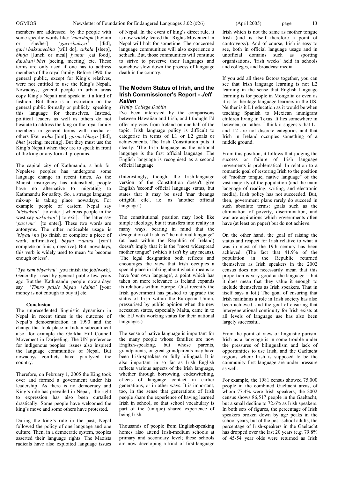members are addressed by the people with some specific words like: *'maushuph'*[he/him or she/her] '*gari+baksyo'* [did], *gari+baksanechha* [will do], *sukala* [sleep], *bhuja* [lunch or meal] *jyunar* [eat food], *darshan+bhet* [seeing, meeting] etc. These terms are only used if one has to address members of the royal family. Before 1990, the general public, except for King's relatives, were not entitled to use the King's Nepali. Nowadays, general people in urban areas copy King's Nepali and speak in it a kind of fashion. But there is a restriction on the general public formally or publicly speaking this language for themselves. Instead, political leaders as well as others do not hesitate to address the king or the royal family members in general terms with media or others like: *woha* [him], *garnu+bhayo* [did], *bhet* [seeing, meeting]. But they must use the King's Nepali when they are tospeak [in](#page-12-1) front of the king or any formal programs.

The capital city of Kathmandu, a hub for Nepalese peoples has undergone some language change in recent times. As the Maoist insurgency has intensified, people have no alternative to migrating to Kathmandu for safety. So, a strange language mix-up is taking place nowadays. For example people of eastern Nepal say ' $niska + nu$ <sup>?</sup> [to enter ] whereas people in the west say *niska+nu'*[ to exit]. The latter say '*pas+nu'* [to enter]. These two words are antony[ms.](#page-12-2) The other noticeable usage is *'bhyau+nu* [to finish or complete a piece of work, affirmative], *bhyau +daina'*[can't complete or finish, negative]. But nowadays, this verb is widely used to mean 'to become enough or less'.

'*Tyo kam bhya+nu'*[you finish the job/work]. Generally used by general public few years ago. But the Kathmandu people now a days say '*Timro paisle bhyau +daina'*[your money is not enough to buy it] etc.

#### **Conclusion**

The unprecedented linguistic dynamism in Nepal in recent times is the outcome of Nepal's democratization in 1990 and the change that took place in Indian subcontinent also: for example the Gorkha Hill Council Movement in Darjeeling. The UN preference for indigenous peoples<sup>7</sup> issues also inspired the language communities of Nepal. But nowadays conflicts have paralyzed the country.

Therefore, on February 1, 2005 the King took over and formed a government under his leadership. As there is no democracy and King's rule has prevailed in Nepal, the right to expression has also been curtailed drastically. Some people have welcomed the king's move and some others have protested.

During the king's rule in the past, Nepal followed the policy of one language and one culture. Then, in a democratic system, peoples asserted their language rights. The Maoists radicals have also exploited language issues

of Nepal. In the event of king's direct rule, it is now widely feared that Rights Movement in Nepal will halt for sometime. The concerned language communities will also experience a setback. But, those communities will continue to strive to preserve their languages and somehow slow down the process of language death in the country.

### **The Modern Status of Irish, and the Irish Commissioner's Report -** *Jeff Kallen*

*Trinity College Dublin*

I've been interested by the comparisons between Hawaiian and Irish, and I thought I'd offer my view from Ireland on one half of the topic. Irish language policy is difficult to categorise in terms of L1 or L2 goals or achievements. The Irish Constitution puts it clearly: 'The Irish language as the national language is the first official language. The English language is recognised as a second official language'.

(Interestingly, though, the Irish-language version of the Constitution doesn't give English 'second' official language status, but states that it may be used 'mar theanga oifigiúil eile', i.e. as 'another official language'.)

The constitutional position may look like simple ideology, but it transfers into reality in many ways, bearing in mind that the designation of Irish as "the national language" (at least within the Republic of Ireland) doesn't imply that it is the "most widespread mother tongue" (which it isn't by any means). The legal designation both reflects and encourages the view that Irish occupies a special place in talking about what it means to have 'our own language', a point which has taken on more relevance as Ireland expands its relations within Europe. (Just recently the Irish government has pushed to upgrade the status of Irish within the European Union, pressurised by public opinion when the new accession states, especially Malta, came in to the EU with working status for their national languages.)

The sense of native language is important for the many people whose families are now English-speaking, but whose parents, grandparents, or great-grandparents may have been Irish-speakers or fully bilingual. It is also important in so far as Irish English reflects various aspects of the Irish language, whether through borrowing, codeswitching, effects of language contact in earlier generations, or in other ways. It is important, too, in the sense that generations of Irish people share the experience of having learned Irish in school, so that school vocabulary is part of the (unique) shared experience of being Irish.

<span id="page-12-0"></span>Thousands of people from English-speaking homes also attend Irish-medium schools at primary and secondary level; these schools are now developing a kind of first-language

<span id="page-12-2"></span><span id="page-12-1"></span>

Irish which is not the same as mother tongue Irish (and is itself therefore a point of controversy). And of course, Irish is easy to see, both in official language usage and in unofficial domains such as sporting organisations, 'Irish weeks' held in schools and colleges, and broadcast media.

If you add all these factors together, you can see that Irish language learning is not L2 learning in the sense that English language learning is for people in Mongolia or even as it is for heritage language learners in the US. Neither is it L1 education as it would be when teaching Spanish to Mexican immigrant children living in Texas. It lies somewhere in between, or rather, I think it suggests that L1 and L2 are not discrete categories and that Irish in Ireland occupies something of a middle ground.

From this position, it follows that judging the success or failure of Irish language movements is problematical. In relation to a romantic goal of restoring Irish to the position of "mother tongue, native language" of the vast majority of the population (and the main language of reading, writing, and electronic media), Irish policy has not succeeded. But, then, government plans rarely do succeed in such absolute terms: goals such as the elimination of poverty, discrimination, and war are aspirations which governments often have (at least on paper) but do not achieve.

On the other hand, the goal of raising the status and respect for Irish relative to what it was in most of the 19th century has been achieved. (The fact that 41.9% of the population in the Republic returned themselves as Irish speakers in the 2002 census does not necessarily mean that this proportion is very good at the language -- but it does mean that they value it enough to include themselves as Irish speakers. That in itself says a lot.) The goal of ensuring that Irish maintains a role in Irish society has also been achieved, and the goal of ensuring that intergenerational continuity for Irish exists at all levels of language use has also been largely successful.

From the point of view of linguistic purism, Irish as a language is in some trouble under the pressures of bilingualism and lack of opportunities to use Irish, and the Gaeltacht regions where Irish is supposed to be the community first language are under pressure as well.

For example, the 1981 census showed 75,000 people in the combined Gaeltacht areas, of whom 77.4% were Irish speakers; the 2002 census shows 86,517 people in the Gaeltacht, but a small decline to 72.6% as Irish speakers. In both sets of figures, the percentage of Irish speakers broken down by age peaks in the school years, but of the post-school adults, the percentage of Irish-speakers in the Gaeltacht has dropped over the last 20 years (e.g. 79.8%) of 45-54 year olds were returned as Irish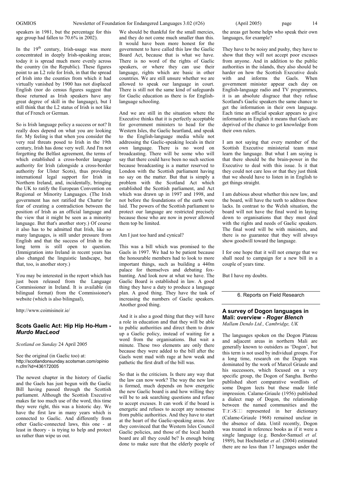speakers in 1981, but the percentage for this age group had fallen to 70.6% in 2002).

In the  $19<sup>th</sup>$  century, Irish-usage was more concentrated in deeply Irish-speaking areas; today it is spread much more evenly across the country (in the Republic). These figures point to an L2 role for Irish, in that the spread of Irish into the counties from which it had virtually vanished by 1900 has not displaced English (nor do census figures suggest that those returned as Irish speakers have any great degree of skill in the language), but I still think that the L2 status of Irish is not like that of French or German.

So is Irish language policy a success or not? It really does depend on what you are looking for. My feeling is that when you consider the very real threats posed to Irish in the 19th century, Irish has done very well. And I'm not forgetting the Belfast agreement, the terms of which established a cross-border language authority for Irish (alongside a cross-border authority for Ulster Scots), thus providing international legal support for Irish in Northern Ireland, and, incidentally, bringing the UK to ratify the European Convention on Regional or Minority Languages. (The Irish government has not ratified the Charter for fear of creating a contradiction between the position of Irish as an official language and the view that it might be seen as a minority language. But that's another story.) Of course it also has to be admitted that Irish, like so many languages, is still under pressure from English and that the success of Irish in the long term is still open to question. (Immigration into Ireland in recent years has also changed the linguistic landscape, but that, too, is another story.)

You may be interested in the report which has just been released from the Language Commissioner in Ireland. It is available (in bilingual format) from the Commissioner's website (which is also bilingual),

http://www.coimisineir.ie/

# **Scots Gaelic Act: Hip Hip Ho-Hum -** *Murdo MacLeod*

*Scotland on Sunday* 24 April 2005

#### See the original (in Gaelic too) at: http://scotlandonsunday.scotsman.com/opinio n.cfm?id=436172005

The newest chapter in the history of Gaelic and the Gaels has just begun with the Gaelic Bill having passed through the Scottish parliament. Although the Scottish Executive makes far too much use of the word, this time they were right, this was a historic day. We have the first law in many years which is connected to Gaelic. And differently from other Gaelic-connected laws, this one - at least in theory - is trying to help and protect us rather than wipe us out.

We should be thankful for the small mercies, and they do not come much smaller than this. It would have been more honest for the government to have called this law the Gaelic Board Act, because that is what we have. There is no word of the rights of Gaelic speakers, or where they can use their language, rights which are basic in other countries. We are still unsure whether we are allowed to speak our language in court. There is still not the same kind of safeguards for Gaelic education as there is for Englishlanguage schooling.

And we are still in the situation where the Executive thinks that it is perfectly acceptable for government ministers to head for the Western Isles, the Gaelic heartland, and speak to the English-language media while not addressing the Gaelic-speaking locals in their own language. There is no word on broadcasting. There will be some who will say that there could have been no such section because broadcasting is a matter reserved to London with the Scottish parliament having no say on the matter. But that is simply a problem with the Scotland Act which established the Scottish parliament, and Act which was drawn up in 1997 and 1998, and not before the foundations of the earth were laid. The powers of the Scottish parliament to protect our language are restricted precisely because those who are now in power allowed them top be limited.

Am I just too hard and cynical?

<span id="page-13-0"></span>This was a bill which was promised to the Gaels in 1997. We had to be patient because the honourable members had to look to more important things, such as building a 440m palace for themselves and debating foxhunting. And look now at what we have. The Gaelic Board is established in law. A good [thing they have a duty to produce a language](http://scotlandonsunday.scotsman.com/opinion.cfm?id=436172005) [plan. A good thin](http://scotlandonsunday.scotsman.com/opinion.cfm?id=436172005)g. They have the task of increasing the numbers of Gaelic speakers. Another good thing.

And it is also a good thing that they will have a role in education and that they will be able to public authorities and direct them to draw up a Gaelic policy, instead of waiting for a word from the organisations. But wait a minute. These two elements are only there because they were added to the bill after the Gaels went mad with rage at how weak and pathetic the first draft of the bill was.

So that is the criticism. Is there any way that the law can now work? The way the new law is formed, much depends on how energetic the new Gaelic board is and how willing they will be to ask searching questions and refuse to accept excuses. It can work if the board is energetic and refuses to accept any nonsense from public authorities. And they have to start at the heart of the Gaelic-speaking areas. Are they convinced that the Western Isles Council Gaelic policies, and those of the local health board are all they could be? Is enough being done to make sure that the elderly people of

| (April 2005) | page | ے |
|--------------|------|---|
|              |      |   |

the areas get home helps who speak their own languages, for example?

They have to be noisy and pushy, they have to show that they will not accept poor excuses from anyone. And in addition to the public authorities in the islands, they also should be harder on how the Scottish Executive deals with and informs the Gaels. When government minister appear each day on English-language radio and TV programmes, it is an absolute disgrace that they refuse Scotland's Gaelic speakers the same chance to get the information in their own language. Each time an official speaker appears to give information in English it means that Gaels are deprived of the chance to get knowledge from their own rulers.

I am not saying that every member of the Scottish Executive ministerial team must learn the language. But what I am saying is that there should be the brain-power in the Executive to deal with this issue. Is it that they could not care less or that they just think that we should have to listen in in English to get things straight.

I am dubious about whether this new law, and the board, will have the teeth to address these lacks. In contrast to the Welsh situation, the board will not have the final word in laying down to organisations that they must deal with the rights and needs of Gaelic speakers. The final word will be with ministers, and there is no guarantee that they will always show goodwill toward the language.

I for one hope that it will not emerge that we shall need to campaign for a new bill in a couple of years time.

But I have my doubts.

6. Reports on Field Research

#### **A survey of Dogon languages in Mali: overview -** *Roger Blench Mallam Dendo Ltd., Cambridge, UK*

The languages spoken on the Dogon Plateau and adjacent areas in northern Mali are generally known to outsiders as 'Dogon', but this term is not used by individual groups. For a long time, research on the Dogon was dominated by the work of Marcel Griaule and his successors, which focused on a very specific group, the Dogon of Sangha. Bertho published short comparative wordlists of some Dogon lects but these made little impression. Calame-Griaule (1956) published a dialect map of Dogon, the relationship between the named communities and the T•r•-S•• represented in her dictionary (Calame-Griaule 1968) remained unclear in the absence of data. Until recently, Dogon was treated in reference books as if it were a single language (e.g. Bendor-Samuel *et al.* 1989), but Hochstetler *et al.* (2004) estimated there are no less than 17 languages under the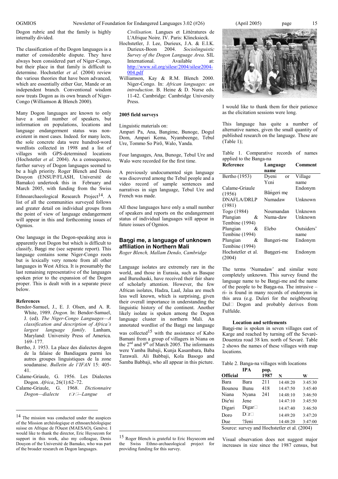Dogon rubric and that the family is highly internally divided.

The classification of the Dogon languages is a matter of considerable dispute. They have always been considered part of Niger-Congo, but their place in that family is difficult to determine. Hochstetler *et al.* (2004) review the various theories that have been advanced, which are essentially either Gur, Mande or an independent branch. Conventional wisdom now treats Dogon as its own branch of Niger-Congo (Williamson & Blench 2000).

Many Dogon languages are known to only have a small number of speakers, but information on populations, locations and language endangerment status was nonexistent in most cases. Indeed. for many lects, the sole concrete data were hundred-word wordlists collected in 1998 and a list of villages with GPS-determined locations (Hochstetler *et al.* 2004). As a consequence, further survey of Dogon languages seemed to be a high priority. Roger Blench and Denis Douyon (ENSUP/FLASH, Université de Bamako) undertook this in February and March 2005, with funding from the Swiss Ethnoarchaeological Research Project<sup>14</sup>. A list of all the communities surveyed follows and greater detail on individual groups from the point of view of language endangerment will appear in this and forthcoming issues of Ogmios.

<span id="page-14-1"></span><span id="page-14-0"></span>One language in the Dogon-speaking area is apparently not Dogon but which is difficult to classify, Baŋgi me (see separate report). This language contains some Niger-Congo roots but is lexically very remote from all other languages in West Africa. It is presumably the last remaining representative of the languages spoken prior to the expansion of the Dogon proper. This is dealt with in a separate piece below.

#### **References**

- Bendor-Samuel, J., E. J. Olsen, and A. R. White, 1989. *Dogon.* In: Bendor-Samuel, J. (ed). *The Niger-Congo Languages—A classification and description of Africa's largest language family*. Lanham, Maryland: University Press of America. 169–177.
- Bertho, J. 1953. La place des dialectes dogon de la falaise de Bandiagara parmi les autres groupes linguistiques de la zone soudanaise. *Bulletin de l'IFAN* 15: 405- 41.
- Calame-Griaule, G. 1956. Les Dialectes Dogon. *Africa*, 26(1):62–72.

Calame-Griaule, G. 1968. *Dictionnaire Dogon—dialecte t*•*r*•*—Langue et* *Civilisation*. Langues et Littératures de L'Afrique Noire. IV. Paris: Klincksieck.

- Hochstetler, J. Lee, Durieux, J.A. & E.I.K. Durieux-Boon 2004. *Sociolinguistic Survey of the Dogon Language Area*. SIL International. Available at: http://www.sil.org/silesr/2004/silesr2004-  $004.pdf$
- Williamson, Kay & R.M. Blench 2000. Niger-Congo. In: *African languages: an introduction*. B. Heine & D. Nurse eds. 11-42. Cambridge: Cambridge University Press.

#### **2005 field surveys**

Linguistic materials on:

Ampari Pa, Ana, Bangime, Bunoge, Dogul Dom, Ampari Kema, Nyambeenge, Tebul Ure, Tommo So Pirõ, Walo, Yanda.

Four languages, Ana, Bunoge, Tebul Ure and Walo were recorded for the first time.

A previously undocumented sign language was discovered among the Tebul people and a video record of sample sentences and narratives in sign language, Tebul Ure and French was made.

All these languages have only a small number of speakers and reports on the endangerment status of individual languages will appear in future issues of Ogmios.

# **Baŋgi me, a language of unknown affiliation in Northern Mali**

*Roger Blench, Mallam Dendo, Cambridge*

Language isolates are extremely rare in the world, and those in Eurasia, such as Basque and Burushaski, have received their fair share of scholarly attention. However, the few African isolates, Hadza, Laal, Jalaa are much less well known, which is surprising, given their overall importance in understanding the linguistic history of the continent. Another likely isolate is spoken among the Dogon language cluster in northern Mali. An annotated wordlist of the Baŋgi me language was collected<sup>15</sup> with the assistance of Kabo Bamani from a group of villagers in Niana on the 2<sup>nd</sup> and 9<sup>th</sup> of March 2005. The informants were Yamba Babaji, Kunja Kasambara, Baba Tarawali. Ali Babbaji, Kola Basogo and Samba Babbaji, who all appear in this picture.



<span id="page-14-3"></span>

I would like to thank them for their patience as the elicitation sessions were long.

This language has quite a number of alternative names, given the small quantity of published research on the language. These are  $(Table 1)$ ;

Table 1. Comparative records of names applied to the Banga-na<br>**Performed Language Reference Comment**

<span id="page-14-2"></span>

| nun un                   | Language    | Сошшен     |  |
|--------------------------|-------------|------------|--|
|                          | name        |            |  |
| Bertho (1953)            | Dyeni<br>or | Village    |  |
|                          | Yani        | name       |  |
| Calame-Griaule<br>(1956) | Bãngeri me  | Endonym    |  |
| DNAFLA/DRLP<br>(1981)    | Numadaw     | Unknown    |  |
| Togo (1984)              | Noumandan   | Unknown    |  |
| Plungian<br>&            | Numa-daw    | Unknown    |  |
| Tembine (1994)           |             |            |  |
| Plungian<br>&            | Elebo       | Outsiders' |  |
| Tembine (1994)           |             | name       |  |
| Plungian<br>&            | Bangeri-me  | Endonym    |  |
| Tembine (1994)           |             |            |  |
| Hochstetler et al.       | Bangeri-me  | Endonym    |  |
| (2004)                   |             |            |  |

The terms 'Numadaw'and similar were completely unknown. This survey found the language name to be Baŋgi-me and the name of the people to be Baŋga-na.Th[e in](#page-14-3)trusive – ri- is found in many records of endonyms in this area (e.g. Duleri for the neighbouring Dul• Dogon and probably derives from Fulfulde.

#### **Location and settlements**

Baŋgi-me is spoken in seven villages east of Karge and reached by turning off the Sevaré-Douentza road 38 km. north of Sevaré. Table 2 shows the names of these villages with map locations.

Table 2. Banga-na villages with locations

|                                               | <b>IPA</b> | pop. |          |         |
|-----------------------------------------------|------------|------|----------|---------|
| <b>Official</b>                               |            | 1987 | N        | W       |
| Bara                                          | Bara       | 211  | 14:48:20 | 3:45:30 |
| Bounou                                        | Bunu       | 418  | 14:47:50 | 3:45:40 |
| Niana                                         | Nyana      | 241  | 14:48:10 | 3:46:50 |
| Die'ni                                        | Jene       |      | 14:47:10 | 3:45:50 |
| Digari                                        | Digar      |      | 14:47:40 | 3:46:50 |
| Doro                                          | D•r•       |      | 14:49:20 | 3:47:20 |
| Due                                           | ?Jeni      |      | 14:48:20 | 3:47:00 |
| Course survey and Hospetation at al<br>(2001) |            |      |          |         |

Source: survey and Hochstetler et al. (2004)

Visual observation does not suggest major increases in size since the 1987 census, but

<sup>14</sup> The mission was conducted under the auspices of the Mission archéologique et ethnoarchéologique suisse en Afrique de l'Ouest (MAESAO), Genève. I would like to thank the director, Eric Huysecom for support in this work, also my colleague, Denis Douyon of the Université de Bamako, who was part of the broader research on Dogon languages.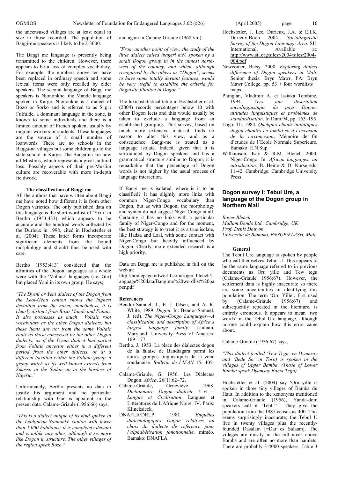the uncensused villages are at least equal in size to those recorded. The population of Baŋgi-me speakers is likely to be 2-3000.

The [Ba](#page-15-0)ŋgi me language is presently being transmitted to the children. However, there appears to be a loss of complex vocabulary. For example, the numbers above ten have been replaced in ordinary speech and some lexical items were only recalled by elder speakers. The second language of Baŋgi me speakers is Niononkhe, the Mande language spoken in Karge. Niononkhe is a dialect of Bozo or Sorko and is referred to as  $S^{\bullet}q^{\bullet}$ . Fulfulde, a dominant language in the zone, is known to some individuals and there is a limited amount of French spoken, usually by migrant workers or students. These languages are the source of a small number of loanwords. There are no schools in the Baŋga-na villages but some children go to the state school in Karge. The Baŋga-na are now all Muslims, which represents a great cultural loss. Possibly aspects of their pre-Muslim culture are recoverable with more in-depth fieldwork.

#### **The classification of Baŋgi me**

All the authors that have written about Baŋgi me have noted how different it is from other Dogon varieties. The only published data on this language is the short wordlist of 'Yεni'in Bertho (1953:433) which appears to be accurate and the hundred words collected by the Durieux in 1998, cited in Hochstetler et al. (2004). These latter forms incorporate significant elements from the bound morphology and should thus be used with care.

<span id="page-15-1"></span>[Be](#page-15-1)rtho (1953:413) considered that the affinities of the Dogon languages as a whole were with the 'Voltaic' languages (i.e. Gur) but placed Yεni in its own group. He says;

*"The Dyeni or Yeni dialect of the Dogon from the Leol-Géou canton shows the highest deviation from the norm; nonetheless, it is clearly distinct from Bozo-Mande and Fulani. It also possesses as much Voltaic root vocabulary as the other Dogon dialects; but these items are not from the same Voltaic roots as those conserved by the other Dogon dialects, as if the Dyeni dialect had parted from Voltaic ancestor either in a different period from the other dialects, or at a different location within the Voltaic group, a group which as ifs well-known extends from Sikasso in the Sudan up to the borders of Nigeria."*

Unfortunately, Bertho presents no data to justify his argument and no particular relationship with Gur is apparent in the present data. Calame-Griaule (1956:66) says;

*"This is a dialect unique of its kind spoken in the Léolguéou-Nonnonké canton with fewer than 1,000 habitants; it is completely deviant and is unlike any other, although it sis more like Dogon in structure. The other villages of the region speak Bozo."*

and again in Calame-Griaule (1968:viii):

*"From another point of view, the study of the little dialect called /báŋeri mé/, spoken by a small Dogon group in in the utmost northwest of the country, and which, although recognized by the others as "Dogon", seems to have some totally deviant features, would be very useful to establish the criteria for linguistic filiation in Dogon."*

The lexicostatistical table in Hochstetler et al. (2004) records percentages below 10 with other Dogon lects and this would usually be taken to exclude a language from an established grouping. This survey, based on much more extensive material, finds no reason to alter this view, and as a consequence, Baŋgi-me is treated as a language isolate. Indeed, given that it is surrounded by Dogon speakers and has a grammatical structure similar to Dogon, it is remarkable that the percentage of Dogon words is not higher by the usual process of language interaction.

If Baŋgi me is isolated, where is it to be classified? It has slightly more links with common Niger-Congo vocabulary than Dogon, but as with Dogon, the morphology and syntax do not suggest Niger-Congo at all. Certainly it has no links with a particular family of Niger-Congo and for the moment, the best strategy is to treat it as a true isolate, like Hadza and Laal, with some contact with Niger-Congo but heavily influenced by Dogon. Clearly, more extended research is a high priority.

Data on Baŋgi me is published in full on the web at:

http://homepage.ntlworld.com/roger\_blench/L anguage%20data/Bangime%20wordlist%20pa per.pdf

#### **References**

- **References**<br>Bendor-Samuel, J., E. J. Olsen, and A. R. White, 1989. *Dogon.* In: Bendor-Samuel, J. (ed). *The Niger-Congo Languages—A classification and description of Africa's largest language family*. Lanham, Maryland: University Press of America. 169–177.
- Bertho, J. 1953. La place des dialectes dogon de la falaise de Bandiagara parmi les autres groupes linguistiques de la zone soudanaise. *Bulletin de l'IFAN* 15: 405- 41.
- Calame-Griaule, G. 1956. Les Dialectes Dogon. *Africa*, 26(1):62–72.
- Calame-Griaule, Geneviève. 1968. *Dictionnaire Dogon—dialecte t* $\rightharpoonup$ *r* $\rightharpoonup$ *-Langue et Civilisation*. Langues et Littératures de L'Afrique Noire. IV. Paris: Klincksieck.
- DNAFLA/DRLP. 1981. *Enquêtes dialectologiques Dogon relatives au choix du dialecte de réference pour l'alphabétisation fonctionnelle*. miméo. Bamako: DNAFLA.
- <span id="page-15-0"></span>Hochstetler, J. Lee, Durieux, J.A. & E.I.K. Durieux-Boon 2004. *Sociolinguistic Survey of the Dogon Language Area*. SIL International. Available at: http://www.sil.org/silesr/2004/silesr2004-
- 004.pdf Newcomer, Betsy. 2000. *Exploring dialect difference of Dogon speakers in Mali*. Senior thesis. Bryn Mawr, PA: Bryn Mawr College. pp.  $53 +$  four wordlists + mans
- Plungian, Vladimir A. et Issiaka Tembine, 1994. *Vers une description sociolinguistique du pays Dogon: attitudes linguistiques et problèmes de standardisation*. In Dum 94, pp. 163–195.
- Togo, Th. 1984. *Quelques chants initiatiques dogon chantés en tombò sò à l'occasion de la circoncision*, Mémoire de fin d'études de l'Ecole Normale Superieure. Bamako: E.N.Sup.
- Williamson, Kay & R.M. Blench 2000. Niger-Congo. In: *African languages: an introduction*. B. Heine & D. Nurse eds. 11-42. Cambridge: Cambridge University Press

# **Dogon survey I: Tebul Ure, a language of the Dogon group in Northern Mali**

*Roger Blench Mallam Dendo Ltd., Cambridge, UK Prof. Denis Douyon Université de Bamako, ENSUP/FLASH, Mali*

#### **General**

The Tebul Ure language is spoken by people who call themselves Tebul U. This appears to be the same language referred to in previous documents as Oru yille and Tew tegu (Calame-Griaule 1956:67). However, the settlement data is highly inaccurate so there are some uncertainties in identifying this population. The term 'Oru Yille', first used<br>by (Calame-Griaule 1956:67) and by (Calame-Griaule 1956:67) and subsequently repeated in the literature, is entirely erroneous. It appears to mean 'two words<sup>'</sup> in the Tebul Ure language, although no-one could explain how this error came about.

Calame-Griaule (1956:67) says,

*"This dialect (called 'Tew Tegu'en Dyamsay and 'Bede So'in Toro) is spoken in the villages of Upper Bamba. (Those of Lower Bamba speak Dyamsay Bama Tegu)."*

Hochstetler et al. (2004) say 'Oru yille is spoken in three tiny villages of Bamba du Haut. In addition to the xenonyms mentioned in Calame-Griaule (1956), Yanda-dom spe[akers call it](http://www.sil.org/silesr/2004/silesr2004-004.pdf) 'Tebl.'' They give the pop[ulation fr](http://www.sil.org/silesr/2004/silesr2004-004.pdf)om the 1987 census as 400. This seems surprisingly inaccurate; the Tebul U live in twenty villages plus the recentlyfounded Dasalam [=Dar es Salaam]. The villages are mostly in the hill areas above Bamba and are often no more than hamlets. There are probably 3-4000 speakers. Table 3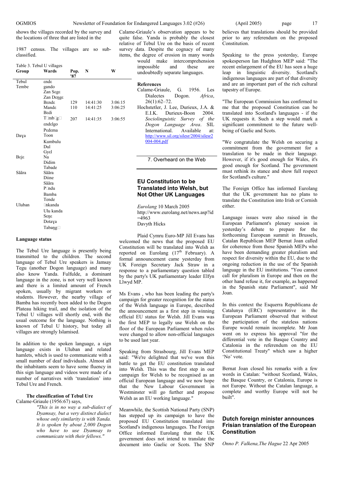shows the villages recorded by the survey and the locations of three that are listed in the

1987 census. The villages are so subclassified.

<span id="page-16-0"></span>

|        | Table 3. Tebul U villages |      |          |         |
|--------|---------------------------|------|----------|---------|
| Group  | Wards                     | Pop. | N        | W       |
|        |                           | '87  |          |         |
| Tebul  | εndε                      |      |          |         |
| Tembe  | gando                     |      |          |         |
|        | Zan Sege                  |      |          |         |
|        | Zan Denge                 |      |          |         |
|        | Bende                     | 129  | 14:41:30 | 3:06:15 |
|        | Mande                     | 110  | 14:41:25 | 3:06:25 |
|        | Bedi                      |      |          |         |
|        | Tombogo                   | 207  | 14:41:35 | 3:06:55 |
|        | endelgo                   |      |          |         |
|        | Padama                    |      |          |         |
| Daya   | Toon                      |      |          |         |
|        | Kumbulu                   |      |          |         |
|        | Dul                       |      |          |         |
|        | Gysl                      |      |          |         |
| Βείε   | Na                        |      |          |         |
|        | Didim                     |      |          |         |
|        | Tabade                    |      |          |         |
| Sããra  | Sããra                     |      |          |         |
|        | Diine                     |      |          |         |
|        | Sããra                     |      |          |         |
|        | $P•$ ndu                  |      |          |         |
|        | Bamba                     |      |          |         |
|        | Tende                     |      |          |         |
| Uluban | ·nkanda                   |      |          |         |
|        | Ulu kanda                 |      |          |         |
|        | $Sep\epsilon$             |      |          |         |
|        | Dotaya                    |      |          |         |
|        | Tabang <sup>®</sup>       |      |          |         |

#### **Language status**

The Tebul Ure language is presently being transmitted to the children. The second language of Tebul Ure speakers is Jamsay Tegu (another Dogon language) and many also know Yanda. Fulfulde, a dominant language in the zone, is not very well known and there is a limited amount of French spoken, usually by migrant workers or students. However, the nearby village of Bamba has recently been added to the Dogon Plateau hiking trail, and the isolation of the Tebul U villages will shortly end, with the usual outcome for the language. Nothing is known of Tebul U history, but today all villages are strongly Islamised.

In addition to the spoken language, a sign language exists in Uluban and related hamlets, which is used to communicate with a small number of deaf individuals. Almost all the inhabitants seem to have some fluency in this sign language and videos were made of a number of narratives with 'translation' into Tebul Ure and French.

#### **The classification of Tebul Ure**

Calame-Griaule (1956:67) says,

*"This is in no way a sub-dialect of Dyamsay, but a very distinct dialect whose only similarity is with Yanda. It is spoken by about 2,000 Dogon who have to use Dyamsay to communicate with their fellows."*

Calame-Griaule's observation appears to be quite false. Yanda is probably the closest relative of Tebul Ure on the basis of recent survey data. Despite the cognacy of many items, the degree of erosion in many words would make intercomprehension impossible and these are undoubtedly separate languages.

#### **References**

- Calame-Griaule, G. 1956. Les<br>Dialectes Dogon. *Africa*, Dialectes 26(1):62–72.
- Hochstetler, J. Lee, Durieux, J.A. & E.I.K. Durieux-Boon 2004. *Sociolinguistic Survey of the Dogon Language Area*. SIL International. Available at: http://www.sil.org/silesr/2004/silesr2 004-004.pdf

7. Overheard on the Web

# **EU Constitution to be Translated into Welsh, but Not Other UK Languages**

*Eurolang* 10 March 2005 http://www.eurolang.net/news.asp?id  $=4963$ Davyth Hicks

Plaid Cymru Euro-MP Jill Evans has welcomed the news that the proposed EU Constitution will be translated into Welsh as reported on Eurolang  $(17<sup>th</sup>$  February). A formal announcement came yesterday from UK Foreign Secretary Jack Straw in a response to a parliamentary question tabled by the party's UK parliamentary leader Elfyn Llwyd MP.

Ms Evans , who has been leading the party's campaign for greater recognition for the status of the Welsh language in Europe, described the announcement as a first step in winning official EU status for Welsh. Jill Evans was the first MEP to legally use Welsh on the floor of the European Parliament when rules were changed to allow non-official languages to be used last year.

Speaking from Strasbourg, Jill Evans MEP said: "We're delighted that we've won this battle to get the EU constitution translated into Welsh. This was the first step in our campaign for Welsh to be recognised as an official European language and we now hope that the New Labour Government in Westminster will go further and propose Welsh as an EU working language."

Meanwhile, the Scottish National Party (SNP) has stepped up its campaign to have the proposed EU Constitution translated into Scotland's indigenous languages. The Foreign Office informed Eurolang that the UK government does not intend to translate the document into Gaelic or Scots. The SNP

believes that translations should be provided prior to any referendum on the proposed Constitution.

Speaking to the press yesterday, Europe spokesperson Ian Hudghton MEP said: "The recent enlargement of the EU has seen a huge leap in linguistic diversity. Scotland's indigenous languages are part of that diversity and areani[mportant part of the rich cultural](http://www.sil.org/silesr/2004/silesr2004-004.pdf) tapestryof [Europe.](http://www.sil.org/silesr/2004/silesr2004-004.pdf)

<span id="page-16-1"></span>"The European Commission has confirmed to me that the proposed Constitution can be translated into Scotland's languages - if the UK requests it. Such a step would mark a significant commitment to the future wellbeing of Gaelic and Scots.

<span id="page-16-2"></span>"We congratulate the Welsh on securing a commitment from the government for a translation to be made in their language. However, if it's good enough for Wales, it's good enough for Scotland. The government must rethink its stance and show full respect for Scotland's culture."

The Foreign Office has informed Eurolang that the UK government has no plans to translate the Constitution into Irish or Cornish either.

Language issues were also raised in the European Parliament's plenary session in yesterday's debate to prepare for the forthcoming European summit in Brussels, Catalan Republican MEP Bernat Joan called for coherence from those Spanish MEPs who have been demanding greater pluralism and respect for diversity within the EU, due to the ongoing reduction in the use of the Spanish language in the EU institutions. "You cannot call for pluralism in Europe and then on the other hand refuse it, for example, as happened in the Spanish state Parliament", said Mr Joan.

In this context the Esquerra Republicana de Catalunya (ERC) representative in the European Parliament observed that without the participation of the stateless nations Europe would remain incomplete. Mr Joan went on to express his approval "for the differential vote in the Basque Country and Catalonia in the referendum on the EU Constitutional Treaty" which saw a higher 'No'vote.

Bernat Joan closed his remarks with a few words in Catalan: "without Scotland, Wales, the Basque Country, or Catalonia, Europe is not Europe. Without the Catalan language, a complete and worthy Europe will not be built".

# **Dutch foreign minister announces Frisian translation of the European Constitution**

*Onno P. Falkena,The Hague* 22 Apr 2005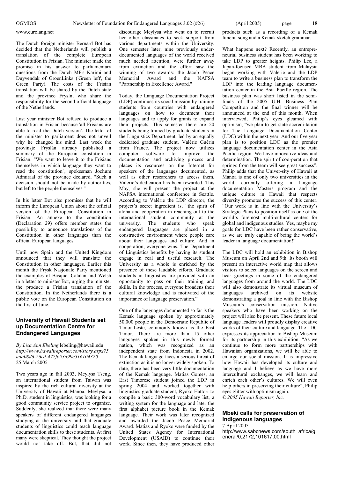# www.eurolang.net

The Dutch foreign minister Bernard Bot has decided that the Netherlands will publish a translation of the complete European Constitution in Frisian. The minister made the promise in his answer to parliamentary questions from the Dutch MP's Karimi and Duyvendak of GroenLinks ('Green left', the Green Party). The costs of the Frisian translation will be shared by the Dutch state and the province Frysln, who share the responsibility for the second official language of the Netherlands.

Last year minister Bot refused to produce a translation in Frisian because 'all Frisians are able to read the Dutch version'. The letter of the minister to parliament does not unveil why he changed his mind. Last week the provinsje Fryslân already published a summary of the European constution in or Frisian. "We want to leave it to the Frisians" themselves in which language they want to read the constitution'', spokesman Jochum Admiraal of the province declared. "Such a decision should not be made by authorities. but left to the people themselves.''

In his letter Bot also promises that he will inform the European Union about the official version of the European Constitution in Frisian. An annexe to the constitution (Declaration 29) offers member states the possibility to announce translations of the Constitution in other languages than the official European languages.

Until now Spain and the United Kingdom announced that they will translate the Constitution in other languages. Earlier this month the Frysk Nasjonale Party mentioned the examples of Basque, Catalan and Welsh in a letter to minister Bot, urging the minister the produce a Frisian translation of the Constitution. In the Netherlands there is a public vote on the European Constitution on the first of June.

# **University of Hawaii Students set up Documentation Centre for Endangered Languages**

*By Lisa Ann Ebeling* lebeling@hawaii.edu *http://www.hawaiireporter.com/story.aspx?5 ada08d6-26ed-477fb53a99c516104320* 25 March 2005

<span id="page-17-0"></span>Two years ago in fall 2003, Meylysa Tseng, an international student from Taiwan was inspired by the rich cultural diversity at the University of Hawaii at Manoa. Meylysa, a Ph.D. student in linguistics, was looking for a good community service project to organize. Suddenly, she realized that there were many speakers of different endangered languages studying at the university and that graduate students of linguistics could teach language documentation skills to these students. At first many were skeptical. They thought the project would not take off. But, that did not

discourage Meylysa who went on to recruit her other classmates to seek support from various departments within the University. One semester later, nine previously underdocumented languages of the world received much needed attention, were further away from extinction and the effort saw the winning of two awards: the Jacob Peace Memorial Award and the NAFSA "Partnership in Excellence Award."

Today, the Language Documentation Project (LDP) continues its social mission by training students from countries with endangered languages on how to document their languages and to apply for grants to expand their projects. This semester there are 20 students being trained by graduate students in the Linguistics Department, led by an equally dedicated graduate student, Valérie Guérin from France. The project now utilizes computer software to improve the documentation and archiving process and places its resources on the Internet for speakers of the languages documented, as well as other researchers to access them. Valerie's dedication has been rewarded. This May, she will present the project at the NAFSA international conference in Seattle. According to Valérie the LDP director, the project's secret ingredient is, "the spirit of aloha and cooperation in reaching out to the international student community at the university. The students who speak endangered languages are placed in a constructive environment where people care about their languages and culture. And in cooperation, everyone wins. The Department of Linguistics benefits by having its student engage in real and useful research. The University as a whole is enriched by the presence of these laudable efforts. Graduate students in linguistics are provided with an opportunity to pass on their training and skills. In the process, everyone broadens their cultural knowledge and is motivated of the importance of language preservation."

<span id="page-17-1"></span>One of the languages documented so far is the Kemak language spoken by approximately 50,000 people in the Democratic Republic of Timor-Leste, commonly known as the East Timor. There are more than 15 other languages spoken in this newly formed nation, which was recognized as an independent state from Indonesia in 2002. The Kemak language faces a serious threat of extinction as it is no longer widely spoken. To date, there has been very little documentation of the Kemak language. Matias Gomes, an East Timorese student joined the LDP in spring 2004 and worked together with linguistics graduate student, Ryoko Hattori to compile a basic 300-word vocabulary list, a writing system for the language and later the first alphabet picture book in the Kemak language. Their work was later recognized and awarded the Jacob Peace Memorial Award. Matias and Ryoko were funded by the United States Agency for International Development (USAID) to continue their work. Since then, they have produced other

products such as a recording of a Kemak funeral song and a Kemak sketch grammar.

What happens next? Recently, an entrepreneurial business student has been working to take LDP to greater heights. Philip Lee, a Japan-focused MBA student from Malaysia began working with Valerie and the LDP team to write a business plan to transform the LDP into the leading language documentation center in the Asia Pacific region. The business plan was short listed in the semifinals of the 2005 U.H. Business Plan Competition and the final winner will be announced at the end of this month. When interviewed, Philip's eyes gleamed with optimism, "we plan to get state accredi-tation for The Language Documentation Center (LDC) within the next year. And our five year plan is to position LDC as the premier language documentation center in the Asia Pacific region. We have innovative ideas and determination. The spirit of coo-peration that springs from the team will see great success". Philip adds that the Univer-sity of Hawaii at Manoa is one of only two universities in the world currently offering a language documentation Masters program and the unique culture in Hawaii that respects diversity promotes the success of this center. "Our work is in line with the University's Strategic Plans to position itself as one of the world's foremost multi-cultural centers for global and indigenous studies. Yes, maybe my goals for LDC have been rather conservative, as we are truly capable of being the world's leader in language documentation!"

The LDC will hold an exhibition in Bishop Museum on April 2nd and 9th. Its booth will present an interactive world map that allows visitors to select languages on the screen and hear greetings in some of the endangered languages from around the world. The LDC will also demonstrate its virtual museum of languages archived on its website demonstrating a goal in line with the Bishop Museum's conservation mission. Native speakers who have been working on the project will also be present. These future local language leaders will proudly display creative works of their culture and language. The LDC expresses its appreciation to Bishop Museum for its partnership in this exhibition. "As we continue to form more partnerships with Hawaiian organizations, we will be able to enlarge our social mission. It is impressive how Hawaii has developed its culture and language and I believe as we have more intercultural exchanges, we will learn and enrich each other's cultures. We will even help others in preserving their culture", Philip eyes glitter with optimism again. *© 2005 Hawaii Reporter, Inc.*

#### **Mbeki calls for preservation of indigenous languages** 7 April 2005

http://www.sabcnews.com/south\_africa/g eneral/0,2172,101617,00.html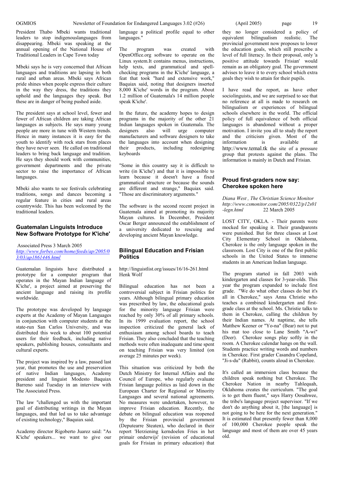President Thabo Mbeki wants traditional leaders to stop indigenouslanguages from disappearing. Mbeki was speaking at the annual opening of the National House of Traditional Leaders in Cape Town today

Mbeki says he is very concerned that African languages and traditions are lapsing in both rural and urban areas. Mbeki says African pride shines when people express their culture in the way they dress, the traditions they uphold and the languages they speak. But these are in danger of being pushed aside.

The president says at school level, fewer and fewer of African children are taking African languages as subjects. He says many young people are more in tune with Western trends. Hence in many instances it is easy for the youth to identify with rock stars from places they have never seen. He called on traditional leaders to bring back language and tradition. He says they should work with communities, government departments and the private sector to raise the importance of African languages.

Mbeki also wants to see festivals celebrating traditions, songs and dances becoming a regular feature in cities and rural areas countrywide. This has been welcomed by the traditional leaders.

# **Guatemalan Linguists Introduce New Software Prototype for K'iche'**

Associated Press 3 March 2005 *http://www.forbes.com/home/feeds/ap/2005/0 3/03/ap1861446.html*

Guatemalan linguists have distributed a prototype for a computer program that operates in the Mayan Indian language of K'iche', a project aimed at preserving the ancient language and raising its profile worldwide.

The prototype was developed by language experts at the Academy of Mayan Languages in conjunction with computer students at the state-run San Carlos University, and was distributed this week to about 100 potential users for their feedback, including native speakers, publishing houses, consultants and cultural experts.

The project was inspired by a law, passed last year, that promotes the use and preservation of native Indian languages, Academy president and linguist Modesto Baquiax Barreno said Tuesday in an interview with The Associated Press.

<span id="page-18-0"></span>The law "challenged us with the important goal of distributing writings in the Mayan languages, and that led us to take advantage of existing technology," Baquiax said.

[Academy director Rigoberto Juarez said: "As](http://www.sabcnews.com/south_africa/general/0,2172,101617,00.html) [K'iche' speakers... we want to](http://www.sabcnews.com/south_africa/general/0,2172,101617,00.html) give our language a political profile equal to other languages."

The program was created with OpenOffice.org software to operate on the Linux system.It contains menus, instructions, help texts, and grammatical and spellchecking programs in the K'iche' language, a feat that took "hard and extensive work," Baquiax said, noting that designers inserted 8,000 K'iche' words in the program. About 1.2 million of Guatemala's 14 million people speak K'iche'.

In the future, the academy hopes to design programs in the majority of the other 21 Indian languages spoken in Guatemala. The designers also will urge computer manufacturers and software designers to take the languages into account when designing their products, including redesigning keyboards

"Some in this country say it is difficult to write (in K'iche') and that it is impossible to learn because it doesn't have a fixed grammatical structure or because the sounds are different and strange," Baquiax said. "Those are discriminatory arguments."

The software is the second recent project in  $http://www.$ <br>Contenual original at approximation its majority relegants relation Guatemala aimed at promoting its majority Mayan cultures. In December, President Oscar Berger announced the establishment of a university dedicated to rescuing and developing ancient Mayan knowledge.

### <span id="page-18-1"></span>**Bilingual Education and Frisian Politics**

http://linguistlist.org/issues/16/16-261.html Henk Wolf

Bilingual education has not been a controversial subject in Frisian politics for years. Although bilingual primary education was prescribed by law, the educational goals for the minority language Frisian were reached by only 30% of all primary schools. In its 1999 evaluation report, the school inspection criticized the general lack of enthusiasm among school boards to teach Frisian. They also concluded that the teaching methods were often inadequate and time spent on teaching Frisian was very limited (on average 25 minutes per week).

This situation was criticized by both the Dutch Ministry for Internal Affairs and the Council of Europe, who regularly evaluate Frisian language politics as laid down in the European Charter for Regional or Minority Languages and several national agreements. No measures were undertaken, however, to improve Frisian education. Recently, the debate on bilingual education was reopened by the Frisian provincial government (Deputearre Steaten), who declared in their report 'Herziening kerndoelen Fries in het primair onderwijs' (revision of educational goals for Frisian in primary education) that they no longer considered a policy of<br>equivalent bilinouslism realistic. The equivalent bilingualism realistic. provincial government now proposes to lower the education goals, which still prescribe a level of full literacy. In their proposal, only 'a positive attitude towards Frisian' would remain as an obligatory goal. The government advises to leave it to every school which extra goals they wish to attain for their pupils.

I have read the report, as have other sociolinguists, and we are surprised to see that no reference at all is made to research on bilingualism or experiences of bilingual schools elsewhere in the world. The official policy of full equivalence of both official languages is abandoned without a proper motivation. I invite you all to study the report and the criticism given. Most of the information is available at http://www.temal.tk the site of a pressure group that protests against the plans. The information is mainly in Dutch and Frisian.

# **Proud first-graders now say: Cherokee spoken here**

*Diana West , The Christian Science Monitor http://www.csmonitor.com/2005/0322/p12s01 -legn.html* 22 March 2005

LOST CITY, OKLA. - Their parents were mocked for speaking it. Their grandparents were punished. But for three classes at Lost City Elementary School in Oklahoma, Cherokee is the only language spoken in the classroom. Lost City is one of the first public schools in the United States to immerse students in an American Indian language.

<span id="page-18-2"></span>The program started in fall 2003 with kindergarten and classes for 3-year-olds. This year the program expanded to include first grade. "We do what other classes do but it's all in Cherokee," says Anna Christie who teaches a combined kindergarten and firstgrade class at the school. Ms. Christie talks to them in Cherokee, calling the children by their Indian names. At naptime, she tells Matthew Keener or "Yo-na" (Bear) not to put his mat too close to Lane Smith "A-wi" (Deer). Cherokee songs play softly in the room. A Cherokee calendar hangs on the wall. Students practice writing words and numbers in Cherokee. First grader Casandra Copeland, "Ji-s-du" (Rabbit), counts aloud in Cherokee.

It's called an immersion class because the children speak nothing but Cherokee. The Cherokee Nation in nearby Tahlequah, Oklahoma creates the curriculum. "The goal is to get them fluent," says Harry Oosahwee, the tribe's language project supervisor. "If we don't do anything about it, [the language] is not going to be here for the next generation." It is estimated that presently fewer than 8,000 of 100,000 Cherokee people speak the language and most of them are over 45 years old.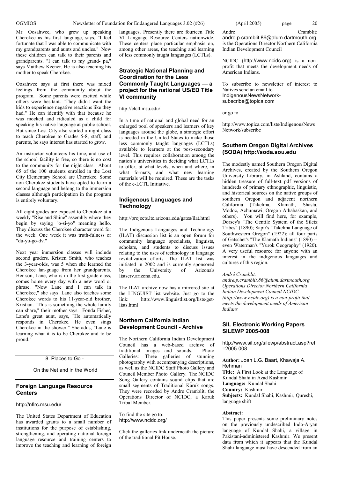Mr. Oosahwee, who grew up speaking Cherokee as his first language, says, "I feel fortunate that I was able to communicate with my grandparents and aunts and uncles." Now these children can talk to their parents and grandparents. "I can talk to my grand- pa," says Matthew Keener. He is also teaching his mother to speak Cherokee.

Oosahwee says at first there was mixed feelings from the community about the program. Some parents were excited while others were hesitant. "They didn't want the kids to experience negative reactions like they had." He can identify with that because he was mocked and ridiculed as a child for speaking his native language at public school. But since Lost City also started a night class to teach Cherokee to Grades 5-8, staff, and parents, he says interest has started to grow.

An instructor volunteers his time, and use of the school facility is free, so there is no cost to the community for the night class. About 65 of the 100 students enrolled in the Lost City Elementary School are Cherokee. Some non-Cherokee students have opted to learn a second language and belong to the immersion classes although participation in the program is entirely voluntary.

<span id="page-19-0"></span>All eight grades are exposed to Cherokee at a weekly "Rise and Shine" assembly where they begin by saying "o-si-yo" meaning hello. They discuss the Cherokee character word for the week. One week it was truth-fulness or "du-yu-go-dv."

Next year immersion classes will include second graders. Kristen Smith, who teaches the 3-year-olds, was 5 when she learned the Cherokee lan-guage from her grandparents. Her son, Lane, who is in the first grade class, comes home every day with a new word or phrase. "Now Lane and I can talk in Cherokee," she says. Lane also teaches some Cherokee words to his 11-year-old brother, Kristian. "This is something the whole family can share," their mother says. Fonda Fisher, Lane's great aunt, says, "He automatically responds in Cherokee. He even sings Cherokee in the shower." She adds, "Lane is learning what it is to be Cherokee and to be proud."

8. Places to Go -

On the Net and in the World

# **Foreign Language Resource Centers**

http://nflrc.msu.edu/

The United States Department of Education has awarded grants to a small number of institutions for the purpose of establishing, strengthening, and operating national foreign language resource and training centers to improve the teaching and learning of foreign languages. Presently there are fourteen Title VI Language Resource Centers nationwide. These centers place particular emphasis on, among other areas, the teaching and learning of less commonly taught languages (LCTLs).

# **Strategic National Planning and Coordination for the Less Commonly Taught Languages — a project for the national US/ED Title VI community**

http://elctl.msu.edu/

In a time of national and global need for an enlarged pool of speakers and learners of key languages around the globe, a strategic effort is needed in the United States to make those less commonly taught languages (LCTLs) available to learners at the post-secondary level. This requires collaboration among the nation's universities in deciding what LCTLs to offer, at what levels, when and where, in what formats, and what new learning materials will be required. These are the tasks of the e-LCTL Initiative.

# **Indigenous Languages and Technology**

http://projects.ltc.arizona.edu/gates/ilat.html

The Indigenous Languages and Technology (ILAT) discussion list is an open forum for community language specialists, linguists, scholars, and students to discuss issues relating to the uses of technology in language revitalization efforts. The ILAT list was initiated in 2002 and is currently sponsored<br>by the University of Arizona's by the University of Arizona's listserv.arizona.edu.

The ILAT archive now has a mirrored site at the LINGUIST list website. Just go to the link: http://www.linguistlist.org/lists/getlink: http://www.linguistlist.org/lists/getlists html

### **Northern California Indian Development Council - Archive**

The Northern California Indian Development Council has a web-based archive of traditional images and sounds. Photo Galleries: Three galleries of stunning photography with accompanying descriptions, as well as the NCIDC Staff Photo Gallery and Council Member Photo Gallery. The NCIDC Song Gallery contains sound clips that are small segments of Traditional Karuk songs. They were recorded by Andre Cramblit, the Operations Director of NCIDC, a Karuk Tribal Member.

<span id="page-19-2"></span><span id="page-19-1"></span>To find the site go to: http://www.ncidc.org/

[Click the galleries link](http://nflrc.msu.edu/) underneath the picture of the traditional Pit House.

Andre Cramblit: andre.p.cramblit.86@alum.dartmouth.org is the Operations Director Northern California Indian Development Council

NCIDC (http://www.ncidc.org) is a nonprofit that meets the development needs of American Indians.

To subscribe to newsletter of interest to Natives send an email to IndigenousNewsNetworksubscribe@topica.com

<span id="page-19-3"></span>or go to

http://www.topica.com/lists/IndigenousNews Network/subscribe

# **Southern Oregon Digital Archives (SODA) http://soda.sou.edu**

The modestly named Southern Oregon Digital Archives, created by the Southern Oregon University Library, in Ashland, contains a hidden treasure of full-text pdf versions of hundreds of primary ethnographic, linguistic, and historical sources on the native groups of southern Oregon and adjacent northern California (Takelma, Klamath, Shasta, Modoc, Achumawi, Oregon Athabaskan, and others). You will find here, for example, Dorsey's "The Gentile System of the Siletz Tribes" (1890); Sapir's "Takelma Language of Southwestern Oregon" (1922); all four parts of Gatschet's "The Klamath Indians" (1890) - even Waterman's "Yurok Geography" (1920). A very useful resource for anyone with an interest in the indigenous languages and cultures of this region.

#### <span id="page-19-4"></span>*André Cramblit:*

*andre.p.cramblit.86@alum.dartmouth.org Operations Director Northern California Indian Development Council NCIDC (http://www.ncidc.org) is a non-profit that meets the development needs of American Indians*

### **SIL Electronic Working Papers SILEWP 2005-008**

http://www.sil.org/silewp/abstract.asp?ref =2005-008

<span id="page-19-5"></span>**Author:** Joan L.G. Baart, Khawaja A. Rehman **Title:** A First Look at the Language of Kundal Shahi in Azad Kashmir **Language:** Kundal Shahi **Country:** Kashmir **Subjects:** Kundal Shahi, Kashmir, Qureshi, language shift

#### **Abstract:**

This paper presents some preliminary notes on the previously undescribed Indo-Aryan language of Kundal Shahi, a village in Pakistani-administered Kashmir. We present data from which it appears that the Kundal Shahi language must have descended from an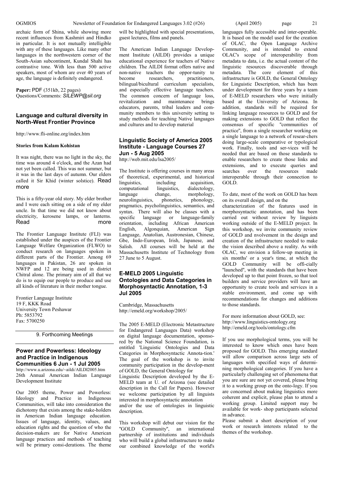archaic form of Shina, while showing more recent influences from Kashmiri and Hindko [in particular. It is not](http://www.ncidc.org/) mutually intelligible with any of these languages. Like many other languages in the northwestern corner of the South-Asian subcontinent, Kundal Shahi has contrastive tone. With less than 500 active speakers, most of whom are over 40 years of [age, the language is definitely endangered.](mailto:andre.p.cramblit.86@alum.dartmouth.org)

**Paper:** PDF (351kb, 22 pages) Questions/Comments: *SILEWP@sil.org*

# **Language and cultural diversity in North-West Frontier Province**

[http://www.fli-online.org/inde](mailto:IndigenousNewsNetwork-subscribe@topica.com)x.htm

## **[Stories from Kalam Kohi](mailto:IndigenousNewsNetwork-subscribe@topica.com)stan**

It was night, there was no light in the sky, the time was around 4 o'clock, and the Azan had not yet been called. This was not summer, but it was in the last days of autumn. Our elders called it Sir Khid (winter solstice). Read more

<span id="page-20-0"></span>This is a fifty-year old story. My elder brother and I were each sitting on a side of my elder uncle. In that time we did not know about electricity, kerosene lamps, or lanterns. Read more

The Frontier Language Institute (FLI) was established under the auspices of the Frontier Language Welfare Organization (FLWO) to conduct research on languages spoken in different parts of the Frontier. Among 69 languages in Pakistan, 26 are spoken in NWFP and 12 are being used in district Chitral alone. The primary aim of all that we do is to equip our people to produce and use all kinds of literature in their mother tongue.

Frontier Language Institute 19 F, KKK Road University Town Peshawar Ph: 5853792 Fax: 5700250

9. Forthcoming Meetings

### **Power and Powerless: Ideology and Practice in Indigenous Communities 6 Jun - 1 Jul 2005**

<span id="page-20-1"></span>http://www.u.arizona.edu/~aildi/AILDI2005.htm 26th Annual American Indian Language Development Institute

Our 2005 theme, Power and Powerless: [Ideology and Practice in Indigenous](http://www.sil.org/silewp/abstract.asp?ref=2005-008) [Communities](http://www.sil.org/silewp/abstract.asp?ref=2005-008), will take into consideration the dichotomy that exists among the stake-holders inAme[rican Indian](http://www.sil.org/acpub/author.asp?auth=Joan_L_G_Baart)[lan](http://www.sil.org/acpub/author.asp?auth=Joan_L_G_Baart)[guage educatio](http://www.sil.org/acpub/author.asp?auth=Khawaja_A_Rehman)n. [Issues of](http://www.sil.org/acpub/author.asp?auth=Khawaja_A_Rehman) language, identity, values, and education rights and the question of who the decision-makers are for Native American language practices and methods of teaching will be primary consi-derations. The theme

will be highlighted with special presentations, guest lectures, films and panels.

The American Indian Language Development Institute (AILDI) provides a unique educational experience for teachers of Native children. The AILDI format offers native and non-native teachers the oppor-tunity to become researchers, practitioners, bilingual/bicultural curriculum specialists, and especially effective language teachers. The common concern of language loss, revitalization and maintenance brings educators, parents, tribal leaders and community members to this university setting to study methods for teaching Native languages and cultures and to develop material

# **Linguistic Society of America 2005 Instit[ute - L](http://www.sil.org/silewp/2005/silewp2005-008.pdf)anguage Courses 27 Jun - 5 Aug 2005**

http://web.mit.edu/lsa[2005/](mailto:silewp@sil.org)

<span id="page-20-2"></span>The Institute is offering courses in many areas of theoretical, experimental, and historical<br>linguistics. including acquisition, linguistics, including acquisition, computational linguistics, dialectology,<br>language change, morphology, language change, morphology, neurolinguistics, phonetics, phonology, pragmatics, psycholinguistics, semantics, and syntax. There will also be classes with a specific language or language-family orientation, including African American English, Algonquian, American Sign Language, Anatolian, Austronesian, Chinese, Gbe, Indo-European, Irish, Japanese,an[d](http://www.fli-online.org/hunting-story.htm) [Salish. All](http://www.fli-online.org/hunting-story.htm) courses will be held at the Massachusetts Institute of Technology from 27 June to 5 August.

# **E-MELD 2005 Linguistic [Ontologies and Data Categories in](http://www.fli-online.org/pasture-witch.htm) Morphosyntactic Annotation, 1-3 Jul 2005**

Cambridge, Massachusetts http://emeld.org/workshop/2005/

The 2005 E-MELD (Electronic Metastructure for Endangered Languages Data) workshop on digital language documentation, sponsored by the National Science Foundation, is entitled 'Linguistic Ontologies and Data Categories in Morphosyntactic Annota-tion.' The goal of the workshop is to invite community participation in the develop-ment of GOLD, the General Ontology for Linguistic Description developed by the E-MELD team at U. of Arizona (see detailed description in the Call for Papers). However we welcome participation by all linguists interested in morphosyntactic annotation and/or the use of ontologies in linguistic description.

<span id="page-20-4"></span><span id="page-20-3"></span>This workshop will debut our vision for the ''GOLD Community'', an international partnership of institutions and individuals who will build a global infrastructure to make our combined knowledge of the world's

languages fully accessible and inter-operable. It is based on the model used for the creation of OLAC, the Open Language Archive Community, and is intended to extend OLAC's scope of interoperability from metadata to data, i.e. the actual content of the linguistic resources discoverable through metadata. The core element of this infrastructure is GOLD, the General Ontology for Linguistic Description, which has been under development for three years by a team of E-MELD researchers who were initially based at the University of Arizona. In addition, standards will be required for linking language resources to GOLD and for making extensions to GOLD that reflect the consensus of specific ''communities of practice'', from a single researcher working on a single language to a network of resear-chers doing large-scale comparative or typological work. Finally, tools and ser-vices will be needed that are based on those standards to enable researchers to create those links and extensions, and to execute queries and searches over the resources made interoperable through their connection to GOLD.

To date, most of the work on GOLD has been on its overall design, and on the

<span id="page-20-5"></span>characterization of the features used in morphosyntactic annotation, and has been carried out without review by linguists working outside of the E-MELD project. In this workshop, we invite community review of GOLD and nvolvement in the design and creation of the infrastructure needed to make the vision described above a reality. As with OLAC, we envision a follow-up meeting in six months' or a year's time, at which the GOLD Community will be offi-cially ''launched'', with the standards that have been developed up to that point frozen, so that tool builders and service providers will have an opportunity to create tools and services in a stable environment, and come up with recommendations for changes and additions to those standards.

For more information about GOLD, see: http://www.linguistics-ontology.org http://emeld.org/tools/ontology.cfm

<span id="page-20-6"></span>If you use morphological terms, you will be interested to know which ones have been proposed for GOLD. This emerging standard will allow comparison across large sets of languages with specified ways of determining morphological categories. If you have a particularly challenging set of phenomena that you are sure are not yet covered, please bring it to a working group on the onto-logy. If you are concerned about making linguistics more coherent and explicit, please plan to attend a working group. Limited support may be available for work- shop participants selected in advance.

Please submit a short description of your work or research interests related to the themes of the workshop.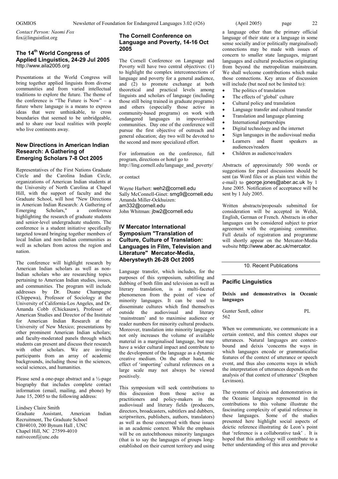# **The 14th World Congress of Applied Linguistics, 24-29 Jul 2005** http://www.aila2005.org

Presentations at the World Congress will bring together applied linguists from diverse communities and from varied intellectual traditions to explore the future. The theme of the conference is "The Future is Now"–a future where language is a means to express ideas that were unthinkable, to cross boundaries that seemed to be unbridgeable, and to share our local realities with people who live continents away.

### **New Directions in American Indian Research: A Gathering of Emerging Scholars 7-8 Oct 2005**

Representatives of the First Nations Graduate Circle and the Carolina Indian Circle, organizations of American Indian students at the University of North Carolina at Chapel Hill, with the support of faculty and the Graduate School, will host "New Directions in American Indian Research: A Gathering of Emerging Scholars," a conference highlighting the research of graduate students and senior-level undergraduate students. The conference is a student initiative specifically targeted toward bringing together members of local Indian and non-Indian communities as well as scholars from across the region and nation.

The conference will highlight research by American Indian scholars as well as non-Indian scholars who are researching topics pertaining to American Indian studies, issues, and communities. The program will include addresses by Dr. Duane Champagne (Chippewa), Professor of Sociology at the University of California-Los Angeles, and Dr. Amanda Cobb (Chickasaw), Professor of American Studies and Director of the Institute for American Indian Research at the University of New Mexico; presentations by other prominent American Indian scholars; and faculty-moderated panels through which students can present and discuss their research with other scholars. We are inviting participants from an array of academic backgrounds, including those in the sciences, social sciences, and humanities.

Please send a one-page abstract and a ½-page biography that includes complete contact information (email, mailing, and phone) by June 15, 2005 to the following address:

Lindsey Claire Smith

Graduate Assistant, American Indian Recruitment, The Graduate School CB#4010, 200 Bynum Hall , UNC Chapel Hill, NC 27599-4010 nativeconf@unc.edu

# **The Cornell Conference on Language and Poverty, 14-16 Oct 2005**

The Cornell Conference on Language and Poverty will have two central objectives: (1) to highlight the complex interconnections of language and poverty for a general audience, and (2) to promote exchange at both theoretical and practical levels among linguists and scholars of language (including those still being trained in graduate programs) and others (especially those active in community-based programs) on work with endangered languages in impoverished communities. Day one of the conference will pursue the first objective of outreach and general education; day two will be devoted to [the second and more specia](http://www.aila2005.org/)lized effort.

<span id="page-21-0"></span>For information on the conference, full program, directions or hotel go to http://ling.cornell.edu/language\_and\_poverty/

or contact

Wayne Harbert: weh2@cornell.edu Sally McConnell-Ginet: smg9@cornell.edu Amanda Miller-Ockhuizen: am332@cornell.edu John Whitman: jbw2@cornell.edu

# <span id="page-21-1"></span>**IV Mercator International Symposium "Translation of Culture, Culture of Translation: Languages in Film, Television and Literature" Mercator-Media, Aberystwyth 26-28 Oct 2005**

Language transfer, which includes, for the purposes of this symposium, subtitling and dubbing of both film and television as well as literary translation, is a multi-faceted phenomenon from the point of view of minority languages. It can be used to disseminate cultures which find themselves outside the audiovisual and literary 'mainstream' and to maximise audience or reader numbers for minority cultural products. Moreover, translation into minority languages not only increases the volume of available material in a marginalised language, but may have a wider cultural impact and contribute to the development of the language as a dynamic creative medium. On the other hand, the effect of 'importing' cultural references on a large scale may not always be viewed positively.

This symposium will seek contributions to this discussion from those active as practitioners and policy-makers in the audiovisual and literary fields (producers, directors, broadcasters, subtitlers and dubbers, scriptwriters, publishers, authors, translators) as well as those concerned with these issues in an academic context. While the emphasis will be on autochthonous minority languages (that is to say the languages of groups longestablished on their current territory and using

a language other than the primary official language of their state or a language in some sense socially and/or politically marginalised) connections may be made with issues of concern to smaller state languages, migrant languages and cultural production originating from beyond the metropolitan mainstream. We shall welcome contributions which make those connections. Key areas of discussion will include (but need not be limited to):

- The politics of translation
- The effects of 'global' culture
- Cultural policy and translation
- <span id="page-21-2"></span>Language transfer and cultural transfer
- Translation and language planning
- International partnerships
- Digital technology and the internet
- Sign languages in the audiovisual media Learners and fluent speakers as
- audiences/readers
- Children as audience/readers

Abstracts of approximately 500 words or suggestions for panel discussions should be sent (as Word files or as plain text within the e-mail) to george.jones@aber.ac.uk by 1 June 2005. Notification of acceptance will be sent by 1 July 2005.

Written abstracts/proposals submitted for consideration will be accepted in Welsh, English, German or French. Abstracts in other languages can be considered subject to prior agreement with the organising committee. Full details of registration and programme will shortly appear on the Mercator-Media website http://www.aber.ac.uk/mercator.

10.R[ecent Publications](mailto:weh2@cornell.edu)

### **[Pacific Linguistics](mailto:am332@cornell.edu)**

#### **Deixis and [demonstratives in](mailto:jbw2@cornell.edu) Oceanic languages**

<span id="page-21-3"></span>

| Gunter Senft, editor | PI |
|----------------------|----|
| 562                  |    |

When we communicate, we communicate in a certain context, and this context shapes our utterances. Natural languages are contextbound and deixis 'concerns the ways in which languages encode or grammaticalise features of the context of utterance or speech event, and thus also concerns ways in which the interpretation of utterances depends on the analysis of that context of utterance'(Stephen Levinson).

The systems of deixis and demonstratives in the Oceanic languages represented in the contributions to this volume illustrate the fascinating complexity of spatial reference in these languages. Some of the studies presented here highlight social aspects of deictic reference illustrating de Leon's point that 'reference is a collaborative task'. It is hoped that this anthology will contribute to a better understanding of this area and provoke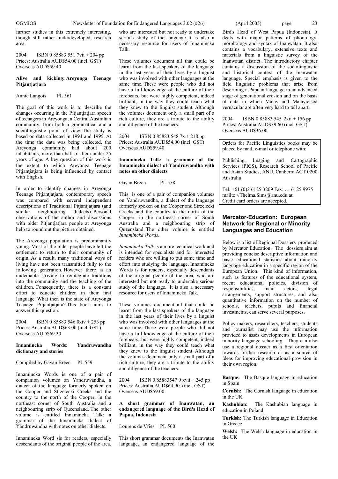further studies in this extremely interesting, though still rather underdeveloped, research area.

2004 ISBN 0 85883 551 7vii + 204 pp Prices: Australia AUD\$54.00 (incl. GST) Overseas AUD\$59.40

### **Alive and kicking: Areyonga Teenage Pitjantjatjara**

Annie Langois PL 561

The goal of this work is to describe the changes occurring in the Pitjantjatjara speech of teenagers in Areyonga, a Central Australian community, from both a grammatical and a sociolinguistic point of view. The study is based on data collected in 1994 and 1995. At the time the data was being collected, the Areyonga community had about 200 inhabitants, more than half of them under 25 years of age. A key question of this work is the extent to which Areyonga Teenage Pitjantjatjara is being influenced by contact with English.

In order to identify changes in Areyonga Teenage Pitjantjatjara, contemporary speech was compared with several independent descriptions of Traditional Pitjantjatjara (and<br>similar neighbouring dialects). Personal dialects). Personal observations of the author and discussions with older Pitjantjatjara people at Areyonga help to round out the picture obtained.

The Areyonga population is predominantly young. Most of the older people have left the settlement to return to their community of origin. As a result, many traditional ways of living have not been transmitted fully to the following [generation. However there i](mailto:george.jones@aber.ac.uk)s an undeniable striving to reintegrate traditions into the community and the teaching of the children. Consequently, there is a constant effort to educate children in their first language. What then is the state of Areyonga Teenage Pitjantjatjara? This book aims to answer this question.

2004 ISBN 0 85883 546 0xiv + 253 pp Prices: Australia AUD\$63.00 (incl. GST) Overseas AUD\$69.30

#### **[Innamincka Words: Yandr](http://www.aber.ac.uk/mercator)uwandha dictionary and stories**

<span id="page-22-0"></span>Compiled by Gavan Breen PL 559

<span id="page-22-1"></span>Innamincka Words is one of a pair of companion volumes on Yandruwandha, a dialect of the language formerly spoken on the Cooper and Strzelecki Creeks and the country to the north of the Cooper, in the northeast corner of South Australia and a neighbouring strip of Queensland. The other volume is entitled Innamincka Talk: a grammar of the Innamincka dialect of Yandruwandha with notes on other dialects.

Innamincka Word sis for readers, especially descendants of the original people of the area,

who are interested but not ready to undertake serious study of the language. It is also a necessary resource for users of Innamincka Talk.

These volumes document all that could be learnt from the last speakers of the language in the last years of their lives by a linguist who was involved with other languages at the same time. These were people who did not have a full knowledge of the culture of their forebears, but were highly competent, indeed brilliant, in the way they could teach what they knew to the linguist student. Although the volumes document only a small part of a rich culture, they are a tribute to the ability and diligence of the teachers.

ISBN 0 85883 548 7x + 218 pp Prices: Australia AUD\$54.00 (incl. GST) Overseas AUD\$59.40

#### **Innamincka Talk: a grammar of the Innamincka dialect of Yandruwandha with notes on other dialects**

Gavan Breen PL 558

This is one of a pair of companion volumes on Yandruwandha, a dialect of the language formerly spoken on the Cooper and Strzelecki Creeks and the country to the north of the Cooper, in the northeast corner of South Australia and a neighbouring strip of Queensland. The other volume is entitled *Innamincka Words*.

*Innamincka Talk* is a more technical work and is intended for specialists and for interested readers who are willing to put some time and effort into studying the language. Innamincka Words is for readers, especially descendants of the original people of the area, who are interested but not ready to undertake serious study of the language. It is also a necessary resource for users of Innamincka Talk.

These volumes document all that could be learnt from the last speakers of the language in the last years of their lives by a linguist who was involved with other languages at the same time. These were people who did not have a full knowledge of the culture of their forebears, but were highly competent, indeed brilliant, in the way they could teach what they knew to the linguist student. Although the volumes document only a small part of a rich culture, they are a tribute to the ability and diligence of the teachers.

2004 ISBN 0 85883547 9 xvii + 245 pp Prices: Australia AUD\$64.90. (incl. GST) Overseas AUD\$59.00

#### **A short grammar of Inanwatan, an endangered language of the Bird's Head of Papua, Indonesia**

Lourens de Vries PL 560

This short grammar documents the Inanwatan language, an endangered language of the

Bird's Head of West Papua (Indonesia). It deals with major patterns of phonology, morphology and syntax of Inanwatan. It also contains a vocabulary, extensive texts and materials from a linguistic survey of the Inanwatan district. The introductory chapter contains a discussion of the sociolinguistic and historical context of the Inanwatan language. Special emphasis is given to the field linguistic problems that arise from describing a Papuan language in an advanced stage of generational erosion and on the basis of data in which Malay and Malayicised vernacular are often very hard to tell apart.

2004 ISBN 0 85883 545 2xii + 156 pp Prices: Australia AUD\$39.60 (incl. GST) Overseas AUD\$36.00

Orders for Pacific Linguistics books may be placed by mail, e-mail or telephone with:

Publishing, Imaging and Cartographic Services (PICS), Research School of Pacific and Asian Studies, ANU, Canberra ACT 0200 Australia

Tel: +61 (0)2 6125 3269 Fax: … 6125 9975 mailto://Thelma.Sims@anu.edu.au Credit card orders are accepted.

# **Mercator-Education: European Network for Regional or Minority Languages and Education**

Below is a list of Regional Dossiers produced by Mercator Education. The dossiers aim at providing concise descriptive information and basic educational statistics about minority language education in a specific region of the European Union. This kind of information, such as features of the educational system, recent educational policies, division of responsibilities, main actors, legal arrangements, support structures, and also quantitative information on the number of schools, teachers, pupils and financial investments, can serve several purposes.

Policy makers, researchers, teachers, students and journalist may use the information provided to asses developments in European minority language schooling. They can also use a regional dossier as a first orientation towards further research or as a source of ideas for improving educational provision in their own region.

**Basque:** The Basque language in education in Spain

**Cornish:** The Cornish language in education in the UK

**Kashubian:** The Kashubian language in education in Poland

**Turkish:** The Turkish language in Education in Greece

**Welsh:** The Welsh language in education in the UK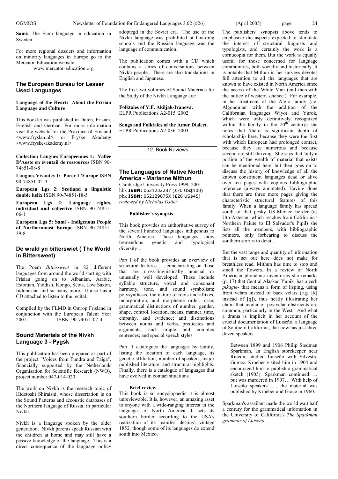**Sami:** The Sami language in education in Sweden

For more regional dossiers and information on minority languages in Europe go to the Mercator-Education website:

www.mercator-education.org

# **The European Bureau for Lesser Used Languages**

### **Language of the Heart: About the Frisian Language and Culture**

This booklet was published in Dutch, Frisian, English and German. For more information visit the website for the Province of Frisland <www.fryslan.nl>, or Fryske Akademy <www.fryske-akademy.nl>

**Collection Langues Européennes 1: Vallée D'Aoste en éventail de ressources** ISBN 90- 74851-08-8

**Langues Vivantes 1: Parer L'Europe** ISBN 90-74851-02-9

**European Lgs 2: Scotland a linguistic double helix** ISBN 90-74851-18-5

**European Lgs 2: Language rights, individual and collective** ISBN 90-74851- 06-1

**European Lgs 5: Sami - Indigenous People of Northernmost Europe** ISBN 90-74851- 39-8

# **De wrald yn bitterswiet ( The World in Bittersweet)**

The Poem *Bittersweet* in 82 different languages from around the world starting with Frisian going on to Albanian, Arabic, Estonian, Yiddish, Kongo, Scots, Low Saxon, Indonesian and so many more. It also has a CD attached to listen to the recital.

Compiled by the FLMD in Omrop Frisland in conjunction with the European Talent Year<br>2001. ISBN: 90-74071-07-4 2001. ISBN: 90-74071-07-4

# <span id="page-23-0"></span>**Sound Materials of the Nivkh Language 3 - Pygsk**

This publication has been prepared as part of the project "Voices from Tundra and Taiga", financially supported by the Netherlands Organisation for Scientific Research (NWO), project number 047-014-020.

The work on Nivkh is the research topic of Hidetoshi Shiraishi, whose dissertation is on the Sound Patterns and accoustic databases of the Northern language of Russia, in particular Nivkh.

Nivkh is a language spoken by the older generation. Nivkh parents speak Russian with the children at home and may still have a passive knowledge of the language. This is a direct consequence of the language policy

adoptegd in the Soviet era. The use of the Nivkh language was prohibited at boarding schools and the Russian language was the language of communication.

The publication comes with a CD which contains a series of conversations between Nivkh people. There are also translations in English and Japanese.

The first two volumes of Sound Materials for the Study of the Nivkh Language are:

**Folktales of V.F. Akiljak-Ivanova.** ELPR Publications A2-015. 2002

**Songs and Folktales of the Amur Dialect.** ELPR Publications A2-036. 2003

12. Book Reviews

# **The Languages of Native North America - Marianne Mithun**

Cambridge University Press 1999, 2001 hbk **ISBN:** 0521232287 (£70 US\$100) pbk **ISBN:** 052129875X (£26 US\$45) *reviewed by Nicholas Ostler*

#### <span id="page-23-1"></span>**Publisher's synopsis**

This book provides an authoritative survey of the several hundred languages indigenous to North America. These languages show tremendous genetic and typological diversity…

Part I of the book provides an overview of structural features …, concentrating on those that are cross-linguistically unusual or unusually well developed. These include syllable structure, vowel and consonant harmony, tone, and sound symbolism; polysynthesis, the nature of roots and affixes, incorporation, and morpheme order; case; grammatical distinctions of number, gender, shape, control, location, means, manner, time, empathy, and evidence; and distinctions between nouns and verbs, predicates and arguments, and simple and complex sentences: and special speech styles.

Part II catalogues the languages by family, listing the location of each language, its genetic affiliation, number of speakers, major published literature, and structural highlights. Finally, there is a catalogue of languages that have evolved in contact situations.

#### <span id="page-23-2"></span>**Brief review**

This book is so encyclopaedic it is almost unreviewable. It is, however, an amazing asset to anyone with a wide-ranging interest in the languages of North America. It sets its southern border according to the USA's realization of its 'manifest destiny', vintage 1852, though some of its languages do extend south into Mexico.

<span id="page-23-3"></span>The publishers' synopsis above tends to emphasize the aspects expected to stimulate the interest of structural linguists and typologists, and certainly the work is a cornucopia for them. But the work is equally useful for those concerned for language communities, both socially and historically. It is notable that Mithun in her surveys devotes full attention to all the languages that are known to have existed in North America since the access of the White Man (and therewith the notice of western science.) For example, in her treatment of the Algic family (i.e. Algonquian with the addition of the Californian languages Wiyot and Yurok, which were only definitively recognized within the family in the  $20^{th}$  century) she notes that 'there is significant depth of scholarship here, because they were the first with which European had prolonged contact, because they are numerous and because several are still thriving'. She says that 'only a portion of the wealth of material that exists can be mentioned here' but then goes on to discuss the history of knowledge of all the known constituent languages dead or alive over ten pages with copious bibliographic reference (always annotated). Having done that there are three more pages giving the characteristic structural features of this family. When a language family has spread south of that pesky US-Mexico border (as Uto-Aztecan, which reaches from California's Northern Paiute to El Salvador's Pipil) she lists all the members, with bibliographic pointers, only forbearing to discuss the southern stories in detail.

<span id="page-23-4"></span>But the vast range and quantity of information that is set out here does not make for breathless read. Mithun has time to stop and smell the flowers. In a review of North American phonemic inventories she remarks (p. 17) that Central Alaskan Yupik has a verb *pikagte*- that means a form of lisping, using front velars instead of back velars  $(e.g. [k])$ instead of [q]), thus neatly illustrating her claim that uvular or postvelar obstruents are common, particularly in the West. And what a drama is implicit in her account of the crucial documentation of Luiseño, a language of Southern California, that now has just three dozen speakers.

Between 1899 and 1906 Philip Stedman Sparkman, an English storekeeper near Rincón, studied Luiseño with Silvestre Gomez. Kroeber visited him in 1904 and encouraged him to publish a grammatical sketch (1905). Sparkman continued ... but was murdered in 1907… With help of Luiseño speakers …, the material was published by Kroeber and Grace in 1960.

Sparkman's assailant made the world wait half a century for the grammatical information in the University of California's *The Sparkman grammar of Luiseño*.